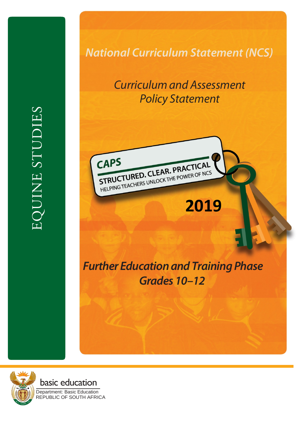EQUINE STUDIES EQUINE STUDIES

# *National Curriculum Statement (NCS)*

# *Curriculum and Assessment Policy Statement*



# *Further Education and Training Phase Grades 10 –12*

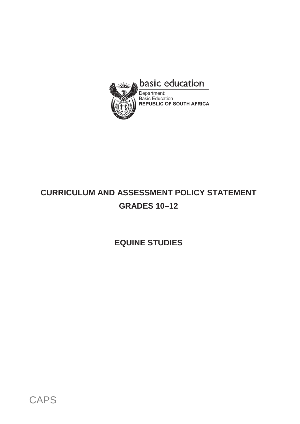

# **CURRICULUM AND ASSESSMENT POLICY STATEMENT GRADES 10–12**

**EQUINE STUDIES**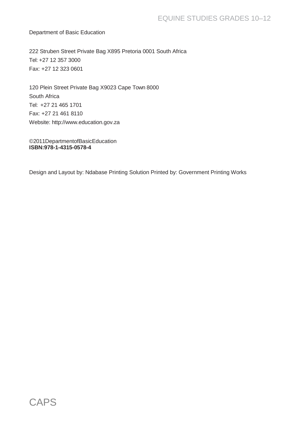Department of Basic Education

222 Struben Street Private Bag X895 Pretoria 0001 South Africa Tel: +27 12 357 3000 Fax: +27 12 323 0601

120 Plein Street Private Bag X9023 Cape Town 8000 South Africa Tel: +27 21 465 1701 Fax: +27 21 461 8110 Website: [http://www.education.gov.za](http://www.education.gov.za/)

©2011DepartmentofBasicEducation **ISBN:978-1-4315-0578-4**

Design and Layout by: Ndabase Printing Solution Printed by: Government Printing Works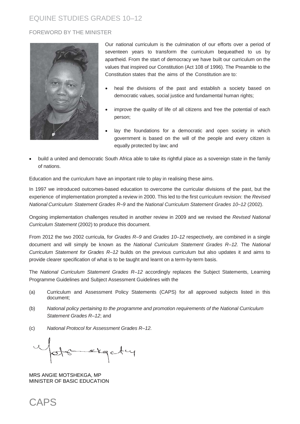#### FOREWORD BY THE MINISTER



Our national curriculum is the culmination of our efforts over a period of seventeen years to transform the curriculum bequeathed to us by apartheid. From the start of democracy we have built our curriculum on the values that inspired our Constitution (Act 108 of 1996). The Preamble to the Constitution states that the aims of the Constitution are to:

- heal the divisions of the past and establish a society based on democratic values, social justice and fundamental human rights;
- improve the quality of life of all citizens and free the potential of each person;
- lay the foundations for a democratic and open society in which government is based on the will of the people and every citizen is equally protected by law; and
- build a united and democratic South Africa able to take its rightful place as a sovereign state in the family of nations.

Education and the curriculum have an important role to play in realising these aims.

In 1997 we introduced outcomes-based education to overcome the curricular divisions of the past, but the experience of implementation prompted a review in 2000. This led to the first curriculum revision: the *Revised National Curriculum Statement Grades R–9* and the *National Curriculum Statement Grades 10–12* (2002).

Ongoing implementation challenges resulted in another review in 2009 and we revised the *Revised National Curriculum Statement* (2002) to produce this document.

From 2012 the two 2002 curricula, for *Grades R–9* and *Grades 10–12* respectively, are combined in a single document and will simply be known as the *National Curriculum Statement Grades R–12.* The *National Curriculum Statement for Grades R–12* builds on the previous curriculum but also updates it and aims to provide clearer specification of what is to be taught and learnt on a term-by-term basis.

The *National Curriculum Statement Grades R–12* accordingly replaces the Subject Statements, Learning Programme Guidelines and Subject Assessment Guidelines with the

- (a) Curriculum and Assessment Policy Statements (CAPS) for all approved subjects listed in this document;
- (b) *National policy pertaining to the programme and promotion requirements of the National Curriculum Statement Grades R–12*; and
- (c) *National Protocol for Assessment Grades R–12.*

stgety

MRS ANGIE MOTSHEKGA, MP MINISTER OF BASIC EDUCATION

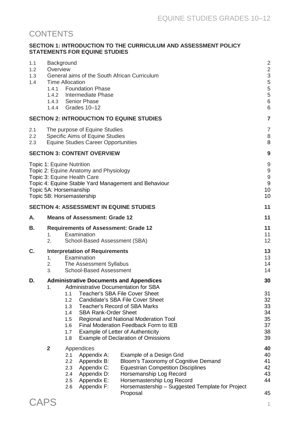# **CONTENTS**

#### **SECTION 1: INTRODUCTION TO THE CURRICULUM AND ASSESSMENT POLICY STATEMENTS FOR EQUINE STUDIES**

| 1.1<br>1.2<br>1.3<br>1.4 | Background<br>Overview<br><b>Time Allocation</b>    | General aims of the South African Curriculum<br>1.4.1 Foundation Phase<br>1.4.2 Intermediate Phase<br>1.4.3 Senior Phase<br>1.4.4 Grades 10-12                                                                                                                                                             |                                                                                                                                                                                                                                        | $\overline{2}$<br>$\overline{c}$<br>3<br>5<br>5<br>5<br>$6\phantom{a}$<br>6 |
|--------------------------|-----------------------------------------------------|------------------------------------------------------------------------------------------------------------------------------------------------------------------------------------------------------------------------------------------------------------------------------------------------------------|----------------------------------------------------------------------------------------------------------------------------------------------------------------------------------------------------------------------------------------|-----------------------------------------------------------------------------|
|                          |                                                     | <b>SECTION 2: INTRODUCTION TO EQUINE STUDIES</b>                                                                                                                                                                                                                                                           |                                                                                                                                                                                                                                        | $\overline{7}$                                                              |
| 2.1<br>2.2<br>2.3        |                                                     | The purpose of Equine Studies<br>Specific Aims of Equine Studies<br><b>Equine Studies Career Opportunities</b>                                                                                                                                                                                             |                                                                                                                                                                                                                                        | $\overline{7}$<br>8<br>8                                                    |
|                          |                                                     | <b>SECTION 3: CONTENT OVERVIEW</b>                                                                                                                                                                                                                                                                         |                                                                                                                                                                                                                                        | 9                                                                           |
|                          | Topic 1: Equine Nutrition<br>Topic 5A: Horsemanship | Topic 2: Equine Anatomy and Physiology<br>Topic 3: Equine Health Care<br>Topic 4: Equine Stable Yard Management and Behaviour<br>Topic 5B: Horsemastership                                                                                                                                                 |                                                                                                                                                                                                                                        | 9<br>9<br>9<br>9<br>10<br>10                                                |
|                          |                                                     | <b>SECTION 4: ASSESSMENT IN EQUINE STUDIES</b>                                                                                                                                                                                                                                                             |                                                                                                                                                                                                                                        | 11                                                                          |
| А.                       |                                                     | <b>Means of Assessment: Grade 12</b>                                                                                                                                                                                                                                                                       |                                                                                                                                                                                                                                        | 11                                                                          |
| Β.                       | 1.<br>2.                                            | <b>Requirements of Assessment: Grade 12</b><br>Examination<br>School-Based Assessment (SBA)                                                                                                                                                                                                                |                                                                                                                                                                                                                                        | 11<br>11<br>12                                                              |
| C.                       | 1 <sub>1</sub><br>2.<br>3.                          | <b>Interpretation of Requirements</b><br>Examination<br>The Assessment Syllabus<br><b>School-Based Assessment</b>                                                                                                                                                                                          |                                                                                                                                                                                                                                        | 13<br>13<br>14<br>14                                                        |
| D.                       | 1.                                                  | <b>Administrative Documents and Appendices</b><br><b>Administrative Documentation for SBA</b><br><b>Teacher's SBA File Cover Sheet</b><br>1.1<br>1.2<br><b>Teacher's Record of SBA Marks</b><br>1.3<br><b>SBA Rank-Order Sheet</b><br>1.4<br>1.5<br>1.6<br>1.7<br>Example of Letter of Authenticity<br>1.8 | <b>Candidate's SBA File Cover Sheet</b><br>Regional and National Moderation Tool<br>Final Moderation Feedback Form to IEB<br><b>Example of Declaration of Omissions</b>                                                                | 30<br>31<br>32<br>33<br>34<br>35<br>37<br>38<br>39                          |
|                          | $\overline{2}$                                      | Appendices<br>Appendix A:<br>2.1<br>Appendix B:<br>2.2<br>2.3<br>Appendix C:<br>Appendix D:<br>2.4<br>2.5<br>Appendix E:<br>Appendix F:<br>2.6                                                                                                                                                             | Example of a Design Grid<br>Bloom's Taxonomy of Cognitive Demand<br><b>Equestrian Competition Disciplines</b><br>Horsemanship Log Record<br>Horsemastership Log Record<br>Horsemastership - Suggested Template for Project<br>Proposal | 40<br>40<br>41<br>42<br>43<br>44<br>45                                      |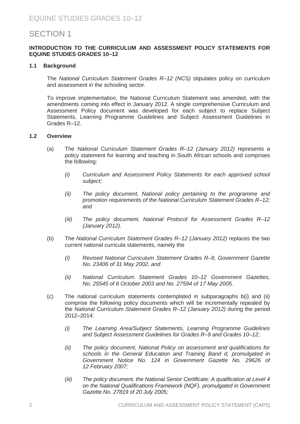# SECTION 1

#### **INTRODUCTION TO THE CURRICULUM AND ASSESSMENT POLICY STATEMENTS FOR EQUINE STUDIES GRADES 10–12**

#### **1.1 Background**

The *National Curriculum Statement Grades R–12 (NCS)* stipulates policy on curriculum and assessment in the schooling sector.

To improve implementation, the National Curriculum Statement was amended, with the amendments coming into effect in January 2012. A single comprehensive Curriculum and Assessment Policy document was developed for each subject to replace Subject Statements, Learning Programme Guidelines and Subject Assessment Guidelines in Grades R–12.

#### **1.2 Overview**

- (a) The *National Curriculum Statement Grades R–12 (January 2012)* represents a policy statement for learning and teaching in South African schools and comprises the following:
	- *(i) Curriculum and Assessment Policy Statements for each approved school subject;*
	- *(ii) The policy document, National policy pertaining to the programme and promotion requirements of the National Curriculum Statement Grades R–12; and*
	- *(iii) The policy document, National Protocol for Assessment Grades R–12 (January 2012).*
- (b) The *National Curriculum Statement Grades R–12 (January 2012)* replaces the two current national curricula statements, namely the
	- *(i) Revised National Curriculum Statement Grades R–9, Government Gazette No. 23406 of 31 May 2002, and*
	- *(ii) National Curriculum Statement Grades 10–12 Government Gazettes, No. 25545 of 6 October 2003 and No. 27594 of 17 May 2005.*
- (c) The national curriculum statements contemplated in subparagraphs b(i) and (ii) comprise the following policy documents which will be incrementally repealed by the *National* Curriculum *Statement Grades R–12 (January 2012)* during the period 2012–2014:
	- *(i) The Learning Area/Subject Statements, Learning Programme Guidelines and Subject Assessment Guidelines for Grades R–9 and Grades 10–12;*
	- *(ii) The policy document, National Policy on assessment and qualifications for schools in the General Education and Training Band d, promulgated in Government Notice No. 124 in Government Gazette No. 29626 of 12 February 2007;*
	- *(iii) The policy document, the National Senior Certificate: A qualification at Level 4 on the National Qualifications Framework (NQF), promulgated in Government Gazette No. 27819 of 20 July 2005;*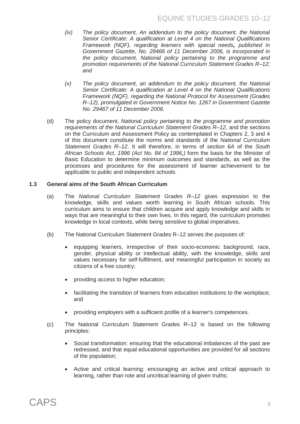- *(iv) The policy document, An addendum to the policy document, the National Senior Certificate: A qualification at Level 4 on the National Qualifications Framework (NQF), regarding learners with special needs, published in Government Gazette, No. 29466 of 11 December 2006, is incorporated in the policy document, National policy pertaining to the programme and promotion requirements of the National Curriculum Statement Grades R–12; and*
- *(v) The policy document, an addendum to the policy document, the National Senior Certificate: A qualification at Level 4 on the National Qualifications Framework (NQF), regarding the National Protocol for Assessment (Grades R–12), promulgated in Government Notice No. 1267 in Government Gazette No. 29467 of 11 December 2006.*
- (d) The policy document, *National policy pertaining to the programme and promotion requirements of the National Curriculum Statement Grades R–12*, and the sections on the Curriculum and Assessment Policy as contemplated in Chapters 2, 3 and 4 of this document constitute the norms and standards of the *National Curriculum Statement Grades R–12.* It will therefore, in terms of *section 6A* of the *South African Schools Act, 1996 (Act No. 84 of 1996,)* form the basis for the Minister of Basic Education to determine minimum outcomes and standards, as well as the processes and procedures for the assessment of learner achievement to be applicable to public and independent schools.

#### **1.3 General aims of the South African Curriculum**

- (a) The *National Curriculum Statement Grades R–12* gives expression to the knowledge, skills and values worth learning in South African schools. This curriculum aims to ensure that children acquire and apply knowledge and skills in ways that are meaningful to their own lives. In this regard, the curriculum promotes knowledge in local contexts, while being sensitive to global imperatives.
- (b) The National Curriculum Statement Grades R–12 serves the purposes of:
	- equipping learners, irrespective of their socio-economic background, race, gender, physical ability or intellectual ability, with the knowledge, skills and values necessary for self-fulfilment, and meaningful participation in society as citizens of a free country;
	- providing access to higher education;
	- facilitating the transition of learners from education institutions to the workplace; and
	- providing employers with a sufficient profile of a learner's competences.
- (c) The National Curriculum Statement Grades R–12 is based on the following principles:
	- Social transformation: ensuring that the educational imbalances of the past are redressed, and that equal educational opportunities are provided for all sections of the population;
	- Active and critical learning: encouraging an active and critical approach to learning, rather than rote and uncritical learning of given truths;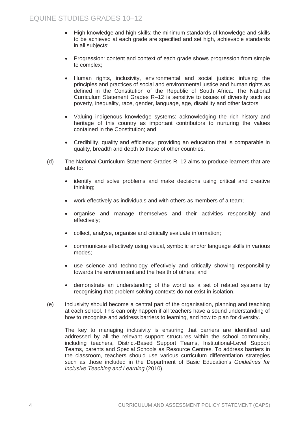- High knowledge and high skills: the minimum standards of knowledge and skills to be achieved at each grade are specified and set high, achievable standards in all subjects;
- Progression: content and context of each grade shows progression from simple to complex;
- Human rights, inclusivity, environmental and social justice: infusing the principles and practices of social and environmental justice and human rights as defined in the Constitution of the Republic of South Africa. The National Curriculum Statement Grades R–12 is sensitive to issues of diversity such as poverty, inequality, race, gender, language, age, disability and other factors;
- Valuing indigenous knowledge systems: acknowledging the rich history and heritage of this country as important contributors to nurturing the values contained in the Constitution; and
- Credibility, quality and efficiency: providing an education that is comparable in quality, breadth and depth to those of other countries.
- (d) The National Curriculum Statement Grades R–12 aims to produce learners that are able to:
	- identify and solve problems and make decisions using critical and creative thinking;
	- work effectively as individuals and with others as members of a team;
	- organise and manage themselves and their activities responsibly and effectively;
	- collect, analyse, organise and critically evaluate information;
	- communicate effectively using visual, symbolic and/or language skills in various modes;
	- use science and technology effectively and critically showing responsibility towards the environment and the health of others; and
	- demonstrate an understanding of the world as a set of related systems by recognising that problem solving contexts do not exist in isolation.
- (e) Inclusivity should become a central part of the organisation, planning and teaching at each school. This can only happen if all teachers have a sound understanding of how to recognise and address barriers to learning, and how to plan for diversity.

The key to managing inclusivity is ensuring that barriers are identified and addressed by all the relevant support structures within the school community, including teachers, District-Based Support Teams, Institutional-Level Support Teams, parents and Special Schools as Resource Centres. To address barriers in the classroom, teachers should use various curriculum differentiation strategies such as those included in the Department of Basic Education's *Guidelines for Inclusive Teaching and Learning* (2010).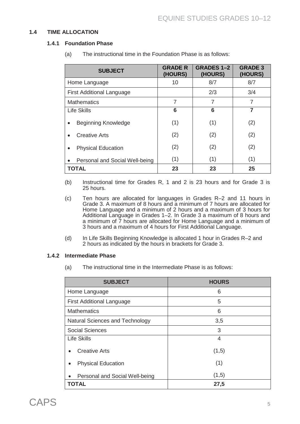#### **1.4 TIME ALLOCATION**

#### **1.4.1 Foundation Phase**

| <b>SUBJECT</b>                              | <b>GRADE R</b><br>(HOURS) | <b>GRADES 1-2</b><br>(HOURS) | <b>GRADE 3</b><br>(HOURS) |
|---------------------------------------------|---------------------------|------------------------------|---------------------------|
| Home Language                               | 10                        | 8/7                          | 8/7                       |
| <b>First Additional Language</b>            |                           | 2/3                          | 3/4                       |
| <b>Mathematics</b>                          | 7                         | 7                            | 7                         |
| <b>Life Skills</b>                          | 6                         | 6                            | 7                         |
| <b>Beginning Knowledge</b><br>٠             | (1)                       | (1)                          | (2)                       |
| Creative Arts<br>$\bullet$                  | (2)                       | (2)                          | (2)                       |
| <b>Physical Education</b><br>$\bullet$      | (2)                       | (2)                          | (2)                       |
| Personal and Social Well-being<br>$\bullet$ | (1)                       | (1)                          | (1)                       |
| <b>TOTAL</b>                                | 23                        | 23                           | 25                        |

(a) The instructional time in the Foundation Phase is as follows:

- (b) Instructional time for Grades R, 1 and 2 is 23 hours and for Grade 3 is 25 hours.
- (c) Ten hours are allocated for languages in Grades R–2 and 11 hours in Grade 3. A maximum of 8 hours and a minimum of 7 hours are allocated for Home Language and a minimum of 2 hours and a maximum of 3 hours for Additional Language in Grades 1–2. In Grade 3 a maximum of 8 hours and a minimum of  $\overline{7}$  hours are allocated for Home Language and a minimum of 3 hours and a maximum of 4 hours for First Additional Language.
- (d) In Life Skills Beginning Knowledge is allocated 1 hour in Grades R–2 and 2 hours as indicated by the hours in brackets for Grade 3.

#### **1.4.2 Intermediate Phase**

(a) The instructional time in the Intermediate Phase is as follows:

| <b>SUBJECT</b>                   | <b>HOURS</b> |
|----------------------------------|--------------|
| Home Language                    | 6            |
| <b>First Additional Language</b> | 5            |
| <b>Mathematics</b>               | 6            |
| Natural Sciences and Technology  | 3,5          |
| <b>Social Sciences</b>           | 3            |
| <b>Life Skills</b>               | 4            |
| <b>Creative Arts</b>             | (1,5)        |
| <b>Physical Education</b>        | (1)          |
| Personal and Social Well-being   | (1,5)        |
| TOTAL                            | 27,5         |

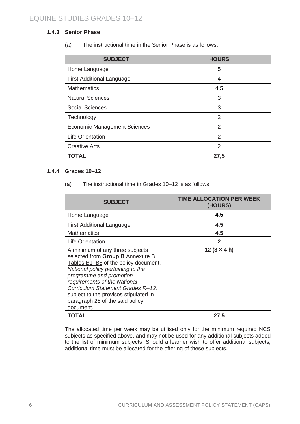#### **1.4.3 Senior Phase**

(a) The instructional time in the Senior Phase is as follows:

| <b>SUBJECT</b>                      | <b>HOURS</b>  |
|-------------------------------------|---------------|
| Home Language                       | 5             |
| <b>First Additional Language</b>    | 4             |
| <b>Mathematics</b>                  | 4,5           |
| <b>Natural Sciences</b>             | 3             |
| <b>Social Sciences</b>              | 3             |
| Technology                          | $\mathcal{P}$ |
| <b>Economic Management Sciences</b> | 2             |
| <b>Life Orientation</b>             | 2             |
| <b>Creative Arts</b>                | 2             |
| <b>TOTAL</b>                        | 27,5          |

#### **1.4.4 Grades 10–12**

(a) The instructional time in Grades 10–12 is as follows:

| <b>SUBJECT</b>                                                                                                                                                                                                                                                                                                                             | TIME ALLOCATION PER WEEK<br>(HOURS) |
|--------------------------------------------------------------------------------------------------------------------------------------------------------------------------------------------------------------------------------------------------------------------------------------------------------------------------------------------|-------------------------------------|
| Home Language                                                                                                                                                                                                                                                                                                                              | 4.5                                 |
| <b>First Additional Language</b>                                                                                                                                                                                                                                                                                                           | 4.5                                 |
| <b>Mathematics</b>                                                                                                                                                                                                                                                                                                                         | 4.5                                 |
| <b>Life Orientation</b>                                                                                                                                                                                                                                                                                                                    | $\mathbf{2}$                        |
| A minimum of any three subjects<br>selected from Group B Annexure B,<br>Tables B1-B8 of the policy document,<br>National policy pertaining to the<br>programme and promotion<br>requirements of the National<br>Curriculum Statement Grades R-12,<br>subject to the provisos stipulated in<br>paragraph 28 of the said policy<br>document. | $12(3 \times 4)$                    |
| TOTAL                                                                                                                                                                                                                                                                                                                                      | 27,5                                |

The allocated time per week may be utilised only for the minimum required NCS subjects as specified above, and may not be used for any additional subjects added to the list of minimum subjects. Should a learner wish to offer additional subjects, additional time must be allocated for the offering of these subjects.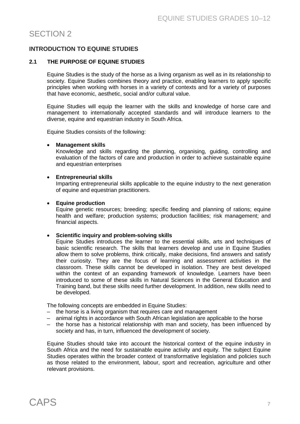# SECTION 2

#### **INTRODUCTION TO EQUINE STUDIES**

#### **2.1 THE PURPOSE OF EQUINE STUDIES**

Equine Studies is the study of the horse as a living organism as well as in its relationship to society. Equine Studies combines theory and practice, enabling learners to apply specific principles when working with horses in a variety of contexts and for a variety of purposes that have economic, aesthetic, social and/or cultural value.

Equine Studies will equip the learner with the skills and knowledge of horse care and management to internationally accepted standards and will introduce learners to the diverse, equine and equestrian industry in South Africa.

Equine Studies consists of the following:

#### • **Management skills**

Knowledge and skills regarding the planning, organising, guiding, controlling and evaluation of the factors of care and production in order to achieve sustainable equine and equestrian enterprises

#### • **Entrepreneurial skills**

Imparting entrepreneurial skills applicable to the equine industry to the next generation of equine and equestrian practitioners.

#### • **Equine production**

Equine genetic resources; breeding; specific feeding and planning of rations; equine health and welfare; production systems; production facilities; risk management; and financial aspects.

#### • **Scientific inquiry and problem-solving skills**

Equine Studies introduces the learner to the essential skills, arts and techniques of basic scientific research. The skills that learners develop and use in Equine Studies allow them to solve problems, think critically, make decisions, find answers and satisfy their curiosity. They are the focus of learning and assessment activities in the classroom. These skills cannot be developed in isolation. They are best developed within the context of an expanding framework of knowledge. Learners have been introduced to some of these skills in Natural Sciences in the General Education and Training band, but these skills need further development. In addition, new skills need to be developed.

The following concepts are embedded in Equine Studies:

- the horse is a living organism that requires care and management
- animal rights in accordance with South African legislation are applicable to the horse
- the horse has a historical relationship with man and society, has been influenced by society and has, in turn, influenced the development of society.

Equine Studies should take into account the historical context of the equine industry in South Africa and the need for sustainable equine activity and equity. The subject Equine Studies operates within the broader context of transformative legislation and policies such as those related to the environment, labour, sport and recreation, agriculture and other relevant provisions.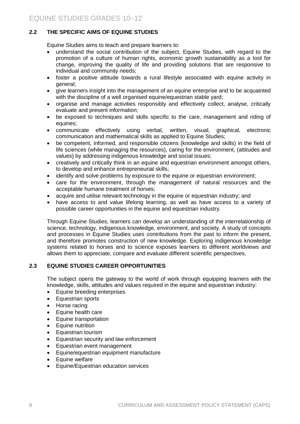#### **2.2 THE SPECIFIC AIMS OF EQUINE STUDIES**

Equine Studies aims to teach and prepare learners to:

- understand the social contribution of the subject, Equine Studies, with regard to the promotion of a culture of human rights, economic growth sustainability as a tool for change, improving the quality of life and providing solutions that are responsive to individual and community needs;
- foster a positive attitude towards a rural lifestyle associated with equine activity in general;
- give learners insight into the management of an equine enterprise and to be acquainted with the discipline of a well organised equine/equestrian stable yard;
- organise and manage activities responsibly and effectively collect, analyse, critically evaluate and present information;
- be exposed to techniques and skills specific to the care, management and riding of equines;
- communicate effectively using verbal, written, visual, graphical, electronic communication and mathematical skills as applied to Equine Studies;
- be competent, informed, and responsible citizens (knowledge and skills) in the field of life sciences (while managing the resources), caring for the environment, (attitudes and values) by addressing indigenous knowledge and social issues;
- creatively and critically think in an equine and equestrian environment amongst others, to develop and enhance entrepreneurial skills;
- identify and solve problems by exposure to the equine or equestrian environment;
- care for the environment, through the management of natural resources and the acceptable humane treatment of horses;
- acquire and utilise relevant technology in the equine or equestrian industry; and
- have access to and value lifelong learning, as well as have access to a variety of possible career opportunities in the equine and equestrian industry.

Through Equine Studies, learners can develop an understanding of the interrelationship of science, technology, indigenous knowledge, environment, and society. A study of concepts and processes in Equine Studies uses contributions from the past to inform the present, and therefore promotes construction of new knowledge. Exploring indigenous knowledge systems related to horses and to science exposes learners to different worldviews and allows them to appreciate, compare and evaluate different scientific perspectives.

#### **2.3 EQUINE STUDIES CAREER OPPORTUNITIES**

The subject opens the gateway to the world of work through equipping learners with the knowledge, skills, attitudes and values required in the equine and equestrian industry:

- Equine breeding enterprises
- Equestrian sports
- Horse racing
- Equine health care
- Equine transportation
- Equine nutrition
- Equestrian tourism
- Equestrian security and law enforcement
- Equestrian event management
- Equine/equestrian equipment manufacture
- Equine welfare
- Equine/Equestrian education services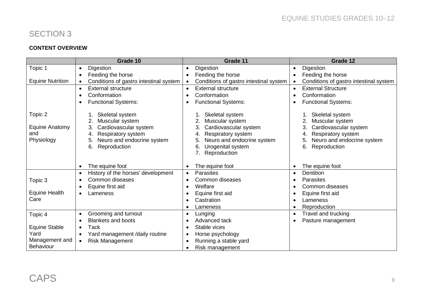# SECTION 3

### **CONTENT OVERVIEW**

|                                                       | Grade 10                                                                                                                                                | Grade 11                                                                                                                                                                    | Grade 12                                                                                                                                                      |
|-------------------------------------------------------|---------------------------------------------------------------------------------------------------------------------------------------------------------|-----------------------------------------------------------------------------------------------------------------------------------------------------------------------------|---------------------------------------------------------------------------------------------------------------------------------------------------------------|
| Topic 1                                               | Digestion<br>$\bullet$                                                                                                                                  | Digestion<br>$\bullet$                                                                                                                                                      | Digestion<br>$\bullet$                                                                                                                                        |
|                                                       | Feeding the horse<br>$\bullet$                                                                                                                          | Feeding the horse<br>$\bullet$                                                                                                                                              | Feeding the horse<br>$\bullet$                                                                                                                                |
| <b>Equine Nutrition</b>                               | Conditions of gastro intestinal system                                                                                                                  | Conditions of gastro intestinal system                                                                                                                                      | Conditions of gastro intestinal system<br>$\bullet$                                                                                                           |
|                                                       | <b>External structure</b><br>$\bullet$                                                                                                                  | <b>External structure</b><br>$\bullet$                                                                                                                                      | <b>External Structure</b><br>$\bullet$                                                                                                                        |
|                                                       | Conformation                                                                                                                                            | Conformation                                                                                                                                                                | Conformation                                                                                                                                                  |
|                                                       | <b>Functional Systems:</b>                                                                                                                              | <b>Functional Systems:</b><br>$\bullet$                                                                                                                                     | <b>Functional Systems:</b><br>$\bullet$                                                                                                                       |
| Topic 2<br><b>Equine Anatomy</b><br>and<br>Physiology | Skeletal system<br>Muscular system<br>Cardiovascular system<br>3.<br>Respiratory system<br>4.<br>Neuro and endocrine system<br>5.<br>Reproduction<br>6. | Skeletal system<br>Muscular system<br>Cardiovascular system<br>3<br>Respiratory system<br>4.<br>Neuro and endocrine system<br>5.<br>Urogenital system<br>6.<br>Reproduction | Skeletal system<br>Muscular system<br>2.<br>Cardiovascular system<br>3.<br>Respiratory system<br>4.<br>5.<br>Neuro and endocrine system<br>6.<br>Reproduction |
|                                                       | The equine foot<br>٠                                                                                                                                    | The equine foot<br>$\bullet$                                                                                                                                                | The equine foot<br>$\bullet$                                                                                                                                  |
|                                                       | History of the horses' development<br>$\bullet$                                                                                                         | <b>Parasites</b><br>$\bullet$                                                                                                                                               | <b>Dentition</b><br>$\bullet$                                                                                                                                 |
| Topic 3                                               | Common diseases                                                                                                                                         | <b>Common diseases</b><br>$\bullet$                                                                                                                                         | <b>Parasites</b>                                                                                                                                              |
|                                                       | Equine first aid<br>٠                                                                                                                                   | Welfare<br>$\bullet$                                                                                                                                                        | Common diseases<br>$\bullet$                                                                                                                                  |
| <b>Equine Health</b>                                  | Lameness<br>٠                                                                                                                                           | Equine first aid<br>$\bullet$                                                                                                                                               | Equine first aid<br>$\bullet$                                                                                                                                 |
| Care                                                  |                                                                                                                                                         | Castration<br>$\bullet$                                                                                                                                                     | Lameness                                                                                                                                                      |
|                                                       |                                                                                                                                                         | Lameness<br>$\bullet$                                                                                                                                                       | Reproduction<br>$\bullet$                                                                                                                                     |
| Topic 4                                               | Grooming and turnout<br>$\bullet$                                                                                                                       | Lunging<br>$\bullet$                                                                                                                                                        | Travel and trucking<br>$\bullet$                                                                                                                              |
|                                                       | <b>Blankets and boots</b><br>٠                                                                                                                          | Advanced tack<br>$\bullet$                                                                                                                                                  | Pasture management<br>$\bullet$                                                                                                                               |
| <b>Equine Stable</b>                                  | Tack<br>$\bullet$                                                                                                                                       | Stable vices<br>$\bullet$                                                                                                                                                   |                                                                                                                                                               |
| Yard                                                  | Yard management /daily routine<br>$\bullet$                                                                                                             | Horse psychology<br>$\bullet$                                                                                                                                               |                                                                                                                                                               |
| Management and                                        | <b>Risk Management</b><br>$\bullet$                                                                                                                     | Running a stable yard<br>$\bullet$                                                                                                                                          |                                                                                                                                                               |
| <b>Behaviour</b>                                      |                                                                                                                                                         | Risk management<br>$\bullet$                                                                                                                                                |                                                                                                                                                               |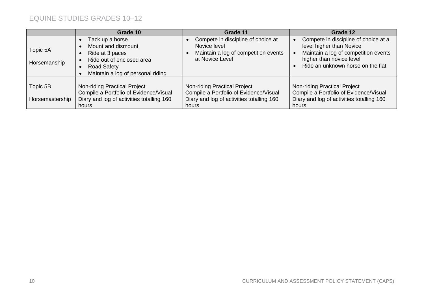|                             | Grade 10                                                                                                                                         | Grade 11                                                                                                                     | Grade 12                                                                                                                                                                  |
|-----------------------------|--------------------------------------------------------------------------------------------------------------------------------------------------|------------------------------------------------------------------------------------------------------------------------------|---------------------------------------------------------------------------------------------------------------------------------------------------------------------------|
| Topic 5A<br>Horsemanship    | Tack up a horse<br>Mount and dismount<br>Ride at 3 paces<br>Ride out of enclosed area<br><b>Road Safety</b><br>Maintain a log of personal riding | Compete in discipline of choice at<br>Novice level<br>Maintain a log of competition events<br>at Novice Level                | Compete in discipline of choice at a<br>level higher than Novice<br>Maintain a log of competition events<br>higher than novice level<br>Ride an unknown horse on the flat |
| Topic 5B<br>Horsemastership | Non-riding Practical Project<br>Compile a Portfolio of Evidence/Visual<br>Diary and log of activities totalling 160<br>hours                     | Non-riding Practical Project<br>Compile a Portfolio of Evidence/Visual<br>Diary and log of activities totalling 160<br>hours | Non-riding Practical Project<br>Compile a Portfolio of Evidence/Visual<br>Diary and log of activities totalling 160<br>hours                                              |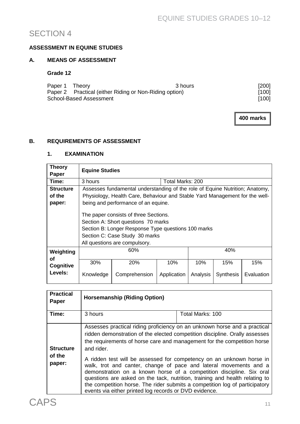# SECTION 4

### **ASSESSMENT IN EQUINE STUDIES**

#### **A. MEANS OF ASSESSMENT**

#### **Grade 12**

|                         | Paper 1 Theory                                         | 3 hours | $[200]$ |
|-------------------------|--------------------------------------------------------|---------|---------|
|                         | Paper 2 Practical (either Riding or Non-Riding option) |         | [100]   |
| School-Based Assessment |                                                        | [100]   |         |

**400 marks**

#### **B. REQUIREMENTS OF ASSESSMENT**

#### **1. EXAMINATION**

| <b>Theory</b><br>Paper     | <b>Equine Studies</b>                                                                                                                                                                                  |               |                  |          |           |            |
|----------------------------|--------------------------------------------------------------------------------------------------------------------------------------------------------------------------------------------------------|---------------|------------------|----------|-----------|------------|
| Time:                      | 3 hours                                                                                                                                                                                                |               | Total Marks: 200 |          |           |            |
| <b>Structure</b>           | Assesses fundamental understanding of the role of Equine Nutrition; Anatomy,                                                                                                                           |               |                  |          |           |            |
| of the                     | Physiology, Health Care, Behaviour and Stable Yard Management for the well-                                                                                                                            |               |                  |          |           |            |
| paper:                     | being and performance of an equine.                                                                                                                                                                    |               |                  |          |           |            |
|                            | The paper consists of three Sections.<br>Section A: Short questions 70 marks<br>Section B: Longer Response Type questions 100 marks<br>Section C: Case Study 30 marks<br>All questions are compulsory. |               |                  |          |           |            |
| Weighting                  | 40%<br>60%                                                                                                                                                                                             |               |                  |          |           |            |
| οf<br>Cognitive<br>Levels: | 30%                                                                                                                                                                                                    | 20%           | 10%              | 10%      | 15%       | 15%        |
|                            | Knowledge                                                                                                                                                                                              | Comprehension | Application      | Analysis | Synthesis | Evaluation |

| <b>Practical</b><br><b>Paper</b> | <b>Horsemanship (Riding Option)</b>                                                                                                                                                                                                               |                                                                                                                                                                                                                                                                                                                                                                                 |  |
|----------------------------------|---------------------------------------------------------------------------------------------------------------------------------------------------------------------------------------------------------------------------------------------------|---------------------------------------------------------------------------------------------------------------------------------------------------------------------------------------------------------------------------------------------------------------------------------------------------------------------------------------------------------------------------------|--|
| Time:                            | 3 hours                                                                                                                                                                                                                                           | Total Marks: 100                                                                                                                                                                                                                                                                                                                                                                |  |
| <b>Structure</b>                 | Assesses practical riding proficiency on an unknown horse and a practical<br>ridden demonstration of the elected competition discipline. Orally assesses<br>the requirements of horse care and management for the competition horse<br>and rider. |                                                                                                                                                                                                                                                                                                                                                                                 |  |
| of the<br>paper:                 | events via either printed log records or DVD evidence.                                                                                                                                                                                            | A ridden test will be assessed for competency on an unknown horse in<br>walk, trot and canter, change of pace and lateral movements and a<br>demonstration on a known horse of a competition discipline. Six oral<br>questions are asked on the tack, nutrition, training and health relating to<br>the competition horse. The rider submits a competition log of participatory |  |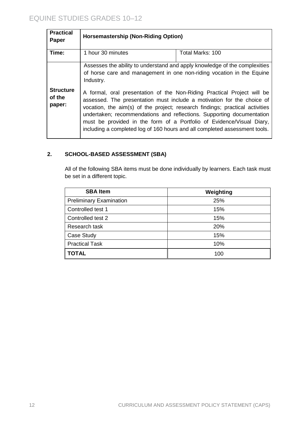| <b>Practical</b><br><b>Paper</b>                                                                                                                                 | <b>Horsemastership (Non-Riding Option)</b>                                                                                                                                                                                                                                                                                                                                                                                                                        |                  |  |
|------------------------------------------------------------------------------------------------------------------------------------------------------------------|-------------------------------------------------------------------------------------------------------------------------------------------------------------------------------------------------------------------------------------------------------------------------------------------------------------------------------------------------------------------------------------------------------------------------------------------------------------------|------------------|--|
| Time:                                                                                                                                                            | 1 hour 30 minutes                                                                                                                                                                                                                                                                                                                                                                                                                                                 | Total Marks: 100 |  |
| Assesses the ability to understand and apply knowledge of the complexities<br>of horse care and management in one non-riding vocation in the Equine<br>Industry. |                                                                                                                                                                                                                                                                                                                                                                                                                                                                   |                  |  |
| <b>Structure</b><br>of the<br>paper:                                                                                                                             | A formal, oral presentation of the Non-Riding Practical Project will be<br>assessed. The presentation must include a motivation for the choice of<br>vocation, the aim(s) of the project; research findings; practical activities<br>undertaken; recommendations and reflections. Supporting documentation<br>must be provided in the form of a Portfolio of Evidence/Visual Diary,<br>including a completed log of 160 hours and all completed assessment tools. |                  |  |

# **2. SCHOOL-BASED ASSESSMENT (SBA)**

All of the following SBA items must be done individually by learners. Each task must be set in a different topic.

| <b>SBA Item</b>                | Weighting |
|--------------------------------|-----------|
| <b>Preliminary Examination</b> | 25%       |
| Controlled test 1              | 15%       |
| Controlled test 2              | 15%       |
| Research task                  | 20%       |
| Case Study                     | 15%       |
| <b>Practical Task</b>          | 10%       |
| <b>TOTAL</b>                   | 100       |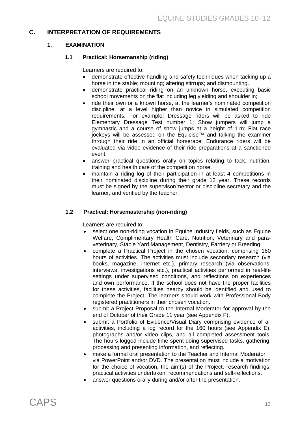#### **C. INTERPRETATION OF REQUIREMENTS**

#### **1. EXAMINATION**

#### **1.1 Practical: Horsemanship (riding)**

Learners are required to:

- demonstrate effective handling and safety techniques when tacking up a horse in the stable; mounting; altering stirrups; and dismounting.
- demonstrate practical riding on an unknown horse, executing basic school movements on the flat including leg yielding and shoulder in;
- ride their own or a known horse, at the learner's nominated competition discipline, at a level higher than novice in simulated competition requirements. For example: Dressage riders will be asked to ride Elementary Dressage Test number 1; Show jumpers will jump a gymnastic and a course of show jumps at a height of 1 m; Flat race jockeys will be assessed on the Equicise™ and talking the examiner through their ride in an official horserace; Endurance riders will be evaluated via video evidence of their ride preparations at a sanctioned event.
- answer practical questions orally on topics relating to tack, nutrition, training and health care of the competition horse.
- maintain a riding log of their participation in at least 4 competitions in their nominated discipline during their grade 12 year. These records must be signed by the supervisor/mentor or discipline secretary and the learner, and verified by the teacher.

#### **1.2 Practical: Horsemastership (non-riding)**

Learners are required to:

- select one non-riding vocation in Equine Industry fields, such as Equine Welfare, Complimentary Health Care, Nutrition, Veterinary and paraveterinary, Stable Yard Management, Dentistry, Farriery or Breeding.
- complete a Practical Project in the chosen vocation, comprising 160 hours of activities. The activities must include secondary research (via books, magazine, internet etc.), primary research (via observations, interviews, investigations etc.), practical activities performed in real-life settings under supervised conditions, and reflections on experiences and own performance. If the school does not have the proper facilities for these activities, facilities nearby should be identified and used to complete the Project. The learners should work with Professional Body registered practitioners in their chosen vocation.
- submit a Project Proposal to the Internal Moderator for approval by the end of October of their Grade 11 year (see Appendix F).
- submit a Portfolio of Evidence/Visual Diary comprising evidence of all activities, including a log record for the 160 hours (see Appendix E), photographs and/or video clips, and all completed assessment tools. The hours logged include time spent doing supervised tasks, gathering, processing and presenting information, and reflecting.
- make a formal oral presentation to the Teacher and Internal Moderator via PowerPoint and/or DVD. The presentation must include a motivation for the choice of vocation, the aim(s) of the Project; research findings; practical activities undertaken; recommendations and self-reflections.
- answer questions orally during and/or after the presentation.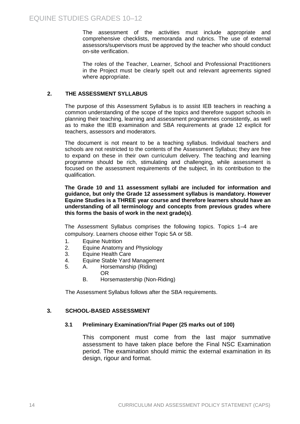The assessment of the activities must include appropriate and comprehensive checklists, memoranda and rubrics. The use of external assessors/supervisors must be approved by the teacher who should conduct on-site verification.

The roles of the Teacher, Learner, School and Professional Practitioners in the Project must be clearly spelt out and relevant agreements signed where appropriate.

#### **2. THE ASSESSMENT SYLLABUS**

The purpose of this Assessment Syllabus is to assist IEB teachers in reaching a common understanding of the scope of the topics and therefore support schools in planning their teaching, learning and assessment programmes consistently, as well as to make the IEB examination and SBA requirements at grade 12 explicit for teachers, assessors and moderators.

The document is not meant to be a teaching syllabus. Individual teachers and schools are not restricted to the contents of the Assessment Syllabus; they are free to expand on these in their own curriculum delivery. The teaching and learning programme should be rich, stimulating and challenging, while assessment is focused on the assessment requirements of the subject, in its contribution to the qualification.

**The Grade 10 and 11 assessment syllabi are included for information and guidance, but only the Grade 12 assessment syllabus is mandatory. However Equine Studies is a THREE year course and therefore learners should have an understanding of all terminology and concepts from previous grades where this forms the basis of work in the next grade(s)**.

The Assessment Syllabus comprises the following topics. Topics 1–4 are compulsory. Learners choose either Topic 5A or 5B.

- 1. Equine Nutrition
- 2. Equine Anatomy and Physiology
- 3. Equine Health Care
- 4. Equine Stable Yard Management
- 5. A. Horsemanship (Riding)
	- OR
	- B. Horsemastership (Non-Riding)

The Assessment Syllabus follows after the SBA requirements.

#### **3. SCHOOL-BASED ASSESSMENT**

#### **3.1 Preliminary Examination/Trial Paper (25 marks out of 100)**

This component must come from the last major summative assessment to have taken place before the Final NSC Examination period. The examination should mimic the external examination in its design, rigour and format.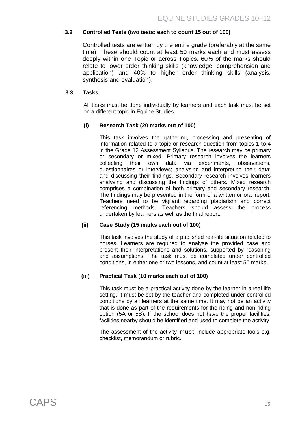#### **3.2 Controlled Tests (two tests: each to count 15 out of 100)**

Controlled tests are written by the entire grade (preferably at the same time). These should count at least 50 marks each and must assess deeply within one Topic or across Topics. 60% of the marks should relate to lower order thinking skills (knowledge, comprehension and application) and 40% to higher order thinking skills (analysis, synthesis and evaluation).

#### **3.3 Tasks**

All tasks must be done individually by learners and each task must be set on a different topic in Equine Studies.

#### **(i) Research Task (20 marks out of 100)**

This task involves the gathering, processing and presenting of information related to a topic or research question from topics 1 to 4 in the Grade 12 Assessment Syllabus. The research may be primary or secondary or mixed. Primary research involves the learners collecting their own data via experiments, observations, own data via experiments, questionnaires or interviews; analysing and interpreting their data; and discussing their findings. Secondary research involves learners analysing and discussing the findings of others. Mixed research comprises a combination of both primary and secondary research. The findings may be presented in the form of a written or oral report. Teachers need to be vigilant regarding plagiarism and correct referencing methods. Teachers should assess the process undertaken by learners as well as the final report.

#### **(ii) Case Study (15 marks each out of 100)**

This task involves the study of a published real-life situation related to horses. Learners are required to analyse the provided case and present their interpretations and solutions, supported by reasoning and assumptions. The task must be completed under controlled conditions, in either one or two lessons, and count at least 50 marks.

#### **(iii) Practical Task (10 marks each out of 100)**

This task must be a practical activity done by the learner in a real-life setting. It must be set by the teacher and completed under controlled conditions by all learners at the same time. It may not be an activity that is done as part of the requirements for the riding and non-riding option (5A or 5B). If the school does not have the proper facilities, facilities nearby should be identified and used to complete the activity.

The assessment of the activity must include appropriate tools e.g. checklist, memorandum or rubric.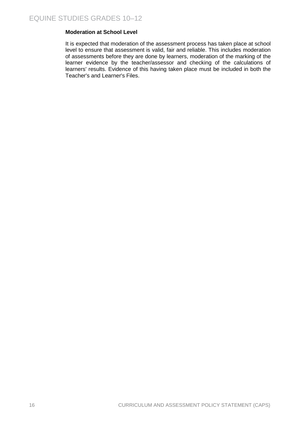#### **Moderation at School Level**

It is expected that moderation of the assessment process has taken place at school level to ensure that assessment is valid, fair and reliable. This includes moderation of assessments before they are done by learners, moderation of the marking of the learner evidence by the teacher/assessor and checking of the calculations of learners' results. Evidence of this having taken place must be included in both the Teacher's and Learner's Files.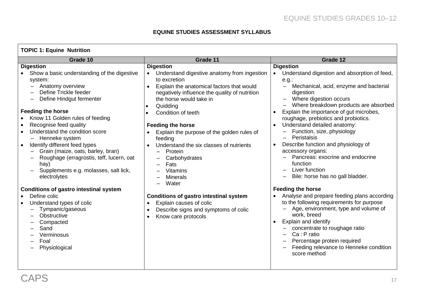#### **EQUINE STUDIES ASSESSMENT SYLLABUS**

| <b>TOPIC 1: Equine Nutrition</b>                                                                                                                                                                                                                                                                                                                                                                                                                                                                                                                             |                                                                                                                                                                                                                                                                                                                                                                                                                                                                                |                                                                                                                                                                                                                                                                                                                                                                                                                                                                                                                                                                                                      |
|--------------------------------------------------------------------------------------------------------------------------------------------------------------------------------------------------------------------------------------------------------------------------------------------------------------------------------------------------------------------------------------------------------------------------------------------------------------------------------------------------------------------------------------------------------------|--------------------------------------------------------------------------------------------------------------------------------------------------------------------------------------------------------------------------------------------------------------------------------------------------------------------------------------------------------------------------------------------------------------------------------------------------------------------------------|------------------------------------------------------------------------------------------------------------------------------------------------------------------------------------------------------------------------------------------------------------------------------------------------------------------------------------------------------------------------------------------------------------------------------------------------------------------------------------------------------------------------------------------------------------------------------------------------------|
| Grade 10                                                                                                                                                                                                                                                                                                                                                                                                                                                                                                                                                     | Grade 11                                                                                                                                                                                                                                                                                                                                                                                                                                                                       | Grade 12                                                                                                                                                                                                                                                                                                                                                                                                                                                                                                                                                                                             |
| <b>Digestion</b><br>Show a basic understanding of the digestive<br>$\bullet$<br>system:<br>Anatomy overview<br>$\qquad \qquad -$<br>Define Trickle feeder<br>Define Hindgut fermenter<br><b>Feeding the horse</b><br>Know 11 Golden rules of feeding<br>$\bullet$<br>Recognise feed quality<br>$\bullet$<br>Understand the condition score<br>Henneke system<br>Identify different feed types<br>$\bullet$<br>Grain (maize, oats, barley, bran)<br>Roughage (erragrostis, teff, lucern, oat<br>hay)<br>Supplements e.g. molasses, salt lick,<br>electrolytes | <b>Digestion</b><br>Understand digestive anatomy from ingestion<br>to excretion<br>Explain the anatomical factors that would<br>$\bullet$<br>negatively influence the quality of nutrition<br>the horse would take in<br>Quidding<br>Condition of teeth<br><b>Feeding the horse</b><br>Explain the purpose of the golden rules of<br>feeding<br>Understand the six classes of nutrients<br>$\bullet$<br>Protein<br>Carbohydrates<br>Fats<br><b>Vitamins</b><br><b>Minerals</b> | <b>Digestion</b><br>Understand digestion and absorption of feed,<br>$e.g.$ :<br>Mechanical, acid, enzyme and bacterial<br>$\qquad \qquad -$<br>digestion<br>Where digestion occurs<br>Where breakdown products are absorbed<br>Explain the importance of gut microbes,<br>$\bullet$<br>roughage, prebiotics and probiotics.<br>Understand detailed anatomy:<br>$\bullet$<br>Function, size, physiology<br>Peristalsis<br>Describe function and physiology of<br>$\bullet$<br>accessory organs:<br>Pancreas: exocrine and endocrine<br>function<br>Liver function<br>Bile: horse has no gall bladder. |
| <b>Conditions of gastro intestinal system</b><br>Define colic<br>Understand types of colic<br>Tympanic/gaseous<br>Obstructive<br>Compacted<br>Sand<br>Verminosus<br>Foal<br>Physiological                                                                                                                                                                                                                                                                                                                                                                    | Water<br><b>Conditions of gastro intestinal system</b><br>Explain causes of colic<br>$\bullet$<br>Describe signs and symptoms of colic<br>Know care protocols<br>$\bullet$                                                                                                                                                                                                                                                                                                     | <b>Feeding the horse</b><br>Analyse and prepare feeding plans according<br>to the following requirements for purpose<br>Age, environment, type and volume of<br>work, breed<br>Explain and identify<br>$\bullet$<br>concentrate to roughage ratio<br>Ca: P ratio<br>Percentage protein required<br>Feeding relevance to Henneke condition<br>score method                                                                                                                                                                                                                                            |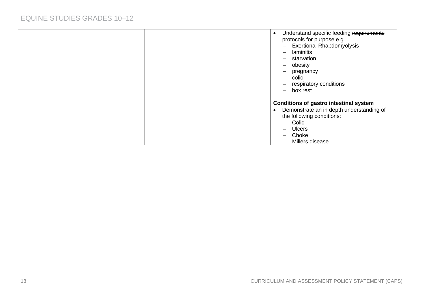|  | Understand specific feeding requirements<br>protocols for purpose e.g.<br><b>Exertional Rhabdomyolysis</b><br>$\overline{\phantom{0}}$<br>laminitis<br>$\qquad \qquad$<br>starvation<br>$\equiv$<br>obesity<br>$\qquad \qquad -$<br>pregnancy<br>$\qquad \qquad -$<br>colic<br>$\overline{\phantom{0}}$<br>respiratory conditions<br>$\equiv$<br>box rest<br>$\equiv$ |
|--|-----------------------------------------------------------------------------------------------------------------------------------------------------------------------------------------------------------------------------------------------------------------------------------------------------------------------------------------------------------------------|
|  | <b>Conditions of gastro intestinal system</b><br>Demonstrate an in depth understanding of<br>the following conditions:<br>Colic<br>$\overline{\phantom{0}}$<br><b>Ulcers</b><br>—<br>Choke<br>$\qquad \qquad$<br>Millers disease<br>$\overline{\phantom{0}}$                                                                                                          |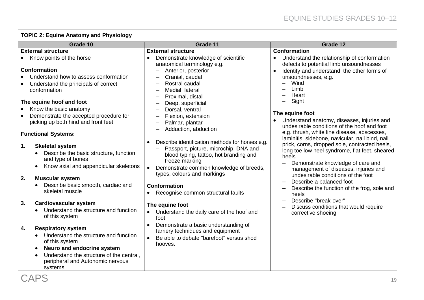# **TOPIC 2: Equine Anatomy and Physiology**

| Grade 10                                                                                                                                                                                                                                                                                                                                                                                                                                                                                                                                                                                                                                                                                                                                                                                                                                                                                    | Grade 11                                                                                                                                                                                                                                                                                                                                                                                                                                                                                                                                                                                                                                                                                                                                                                                                                                      | Grade 12                                                                                                                                                                                                                                                                                                                                                                                                                                                                                                                                                                                                                                                                                                                                                                                                                   |
|---------------------------------------------------------------------------------------------------------------------------------------------------------------------------------------------------------------------------------------------------------------------------------------------------------------------------------------------------------------------------------------------------------------------------------------------------------------------------------------------------------------------------------------------------------------------------------------------------------------------------------------------------------------------------------------------------------------------------------------------------------------------------------------------------------------------------------------------------------------------------------------------|-----------------------------------------------------------------------------------------------------------------------------------------------------------------------------------------------------------------------------------------------------------------------------------------------------------------------------------------------------------------------------------------------------------------------------------------------------------------------------------------------------------------------------------------------------------------------------------------------------------------------------------------------------------------------------------------------------------------------------------------------------------------------------------------------------------------------------------------------|----------------------------------------------------------------------------------------------------------------------------------------------------------------------------------------------------------------------------------------------------------------------------------------------------------------------------------------------------------------------------------------------------------------------------------------------------------------------------------------------------------------------------------------------------------------------------------------------------------------------------------------------------------------------------------------------------------------------------------------------------------------------------------------------------------------------------|
| <b>External structure</b>                                                                                                                                                                                                                                                                                                                                                                                                                                                                                                                                                                                                                                                                                                                                                                                                                                                                   | <b>External structure</b>                                                                                                                                                                                                                                                                                                                                                                                                                                                                                                                                                                                                                                                                                                                                                                                                                     | <b>Conformation</b>                                                                                                                                                                                                                                                                                                                                                                                                                                                                                                                                                                                                                                                                                                                                                                                                        |
| Know points of the horse<br><b>Conformation</b><br>Understand how to assess conformation<br>Understand the principals of correct<br>conformation<br>The equine hoof and foot<br>Know the basic anatomy<br>Demonstrate the accepted procedure for<br>picking up both hind and front feet<br><b>Functional Systems:</b><br><b>Skeletal system</b><br>1.<br>Describe the basic structure, function<br>and type of bones<br>Know axial and appendicular skeletons<br>2.<br><b>Muscular system</b><br>Describe basic smooth, cardiac and<br>$\bullet$<br>skeletal muscle<br>3.<br><b>Cardiovascular system</b><br>Understand the structure and function<br>of this system<br><b>Respiratory system</b><br>4.<br>Understand the structure and function<br>of this system<br>Neuro and endocrine system<br>Understand the structure of the central,<br>peripheral and Autonomic nervous<br>systems | Demonstrate knowledge of scientific<br>anatomical terminology e.g.<br>Anterior, posterior<br>Cranial, caudal<br>Rostral caudal<br>Medial, lateral<br>Proximal, distal<br>Deep, superficial<br>Dorsal, ventral<br>Flexion, extension<br>Palmar, plantar<br>Adduction, abduction<br>Describe identification methods for horses e.g.<br>Passport, picture, microchip, DNA and<br>blood typing, tattoo, hot branding and<br>freeze marking<br>Demonstrate common knowledge of breeds,<br>$\bullet$<br>types, colours and markings<br><b>Conformation</b><br>Recognise common structural faults<br>$\bullet$<br>The equine foot<br>Understand the daily care of the hoof and<br>foot<br>Demonstrate a basic understanding of<br>$\bullet$<br>farriery techniques and equipment<br>Be able to debate "barefoot" versus shod<br>$\bullet$<br>hooves. | Understand the relationship of conformation<br>defects to potential limb unsoundnesses<br>Identify and understand the other forms of<br>unsoundnesses, e.g.<br>Wind<br>Limb<br>Heart<br>Sight<br>The equine foot<br>Understand anatomy, diseases, injuries and<br>undesirable conditions of the hoof and foot<br>e.g. thrush, white line disease, abscesses,<br>laminitis, sidebone, navicular, nail bind, nail<br>prick, corns, dropped sole, contracted heels,<br>long toe low heel syndrome, flat feet, sheared<br>heels<br>Demonstrate knowledge of care and<br>management of diseases, injuries and<br>undesirable conditions of the foot<br>Describe a balanced foot<br>Describe the function of the frog, sole and<br>heels<br>Describe "break-over"<br>Discuss conditions that would require<br>corrective shoeing |
| CAPS                                                                                                                                                                                                                                                                                                                                                                                                                                                                                                                                                                                                                                                                                                                                                                                                                                                                                        |                                                                                                                                                                                                                                                                                                                                                                                                                                                                                                                                                                                                                                                                                                                                                                                                                                               | 1 <sup>c</sup>                                                                                                                                                                                                                                                                                                                                                                                                                                                                                                                                                                                                                                                                                                                                                                                                             |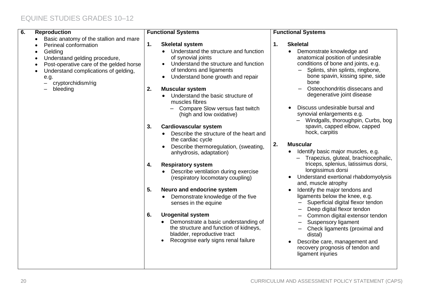| 6.<br><b>Reproduction</b>                                                                                                                                                                                                                                                                                 | <b>Functional Systems</b>                                                                                                                                                                                                                                                                                                                                                                                                                                                                                                                                                                                                                                                                                                                                                                                                                                                                                                                                                  | <b>Functional Systems</b>                                                                                                                                                                                                                                                                                                                                                                                                                                                                                                                                                                                                                                                                                                                                                                                                                                                                                                                                                                                                                                     |
|-----------------------------------------------------------------------------------------------------------------------------------------------------------------------------------------------------------------------------------------------------------------------------------------------------------|----------------------------------------------------------------------------------------------------------------------------------------------------------------------------------------------------------------------------------------------------------------------------------------------------------------------------------------------------------------------------------------------------------------------------------------------------------------------------------------------------------------------------------------------------------------------------------------------------------------------------------------------------------------------------------------------------------------------------------------------------------------------------------------------------------------------------------------------------------------------------------------------------------------------------------------------------------------------------|---------------------------------------------------------------------------------------------------------------------------------------------------------------------------------------------------------------------------------------------------------------------------------------------------------------------------------------------------------------------------------------------------------------------------------------------------------------------------------------------------------------------------------------------------------------------------------------------------------------------------------------------------------------------------------------------------------------------------------------------------------------------------------------------------------------------------------------------------------------------------------------------------------------------------------------------------------------------------------------------------------------------------------------------------------------|
| Basic anatomy of the stallion and mare<br>$\bullet$<br>Perineal conformation<br>Gelding<br>$\bullet$<br>Understand gelding procedure,<br>$\bullet$<br>Post-operative care of the gelded horse<br>$\bullet$<br>Understand complications of gelding,<br>$\bullet$<br>e.g.<br>cryptorchidism/rig<br>bleeding | 1.<br><b>Skeletal system</b><br>Understand the structure and function<br>of synovial joints<br>Understand the structure and function<br>$\bullet$<br>of tendons and ligaments<br>Understand bone growth and repair<br>$\bullet$<br>2.<br><b>Muscular system</b><br>Understand the basic structure of<br>muscles fibres<br>Compare Slow versus fast twitch<br>(high and low oxidative)<br><b>Cardiovascular system</b><br>3.<br>Describe the structure of the heart and<br>the cardiac cycle<br>Describe thermoregulation, (sweating,<br>anhydrosis, adaptation)<br><b>Respiratory system</b><br>4.<br>Describe ventilation during exercise<br>(respiratory locomotary coupling)<br>5.<br>Neuro and endocrine system<br>Demonstrate knowledge of the five<br>senses in the equine<br>6.<br><b>Urogenital system</b><br>Demonstrate a basic understanding of<br>the structure and function of kidneys,<br>bladder, reproductive tract<br>Recognise early signs renal failure | <b>Skeletal</b><br>1.<br>Demonstrate knowledge and<br>anatomical position of undesirable<br>conditions of bone and joints, e.g.<br>Splints, shin splints, ringbone,<br>bone spavin, kissing spine, side<br>bone<br>Osteochondritis dissecans and<br>degenerative joint disease<br>Discuss undesirable bursal and<br>synovial enlargements e.g.<br>Windgalls, thoroughpin, Curbs, bog<br>spavin, capped elbow, capped<br>hock, carpitis<br>2.<br><b>Muscular</b><br>Identify basic major muscles, e.g.<br>$\bullet$<br>Trapezius, gluteal, brachiocephalic,<br>triceps, splenius, latissimus dorsi,<br>longissimus dorsi<br>Understand exertional rhabdomyolysis<br>$\bullet$<br>and, muscle atrophy<br>Identify the major tendons and<br>$\bullet$<br>ligaments below the knee, e.g.<br>Superficial digital flexor tendon<br>Deep digital flexor tendon<br>Common digital extensor tendon<br><b>Suspensory ligament</b><br>Check ligaments (proximal and<br>distal)<br>Describe care, management and<br>recovery prognosis of tendon and<br>ligament injuries |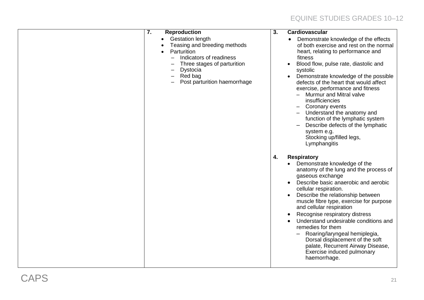| 7. | <b>Reproduction</b><br><b>Gestation length</b><br>Teasing and breeding methods<br>Parturition<br>Indicators of readiness<br>Three stages of parturition<br>Dystocia<br>Red bag<br>Post parturition haemorrhage | $\overline{3}$ . | Cardiovascular<br>Demonstrate knowledge of the effects<br>$\bullet$<br>of both exercise and rest on the normal<br>heart, relating to performance and<br>fitness<br>Blood flow, pulse rate, diastolic and<br>systolic<br>Demonstrate knowledge of the possible<br>defects of the heart that would affect<br>exercise, performance and fitness<br>Murmur and Mitral valve<br>insufficiencies<br>Coronary events<br>Understand the anatomy and<br>function of the lymphatic system<br>Describe defects of the lymphatic<br>system e.g.                                                              |
|----|----------------------------------------------------------------------------------------------------------------------------------------------------------------------------------------------------------------|------------------|--------------------------------------------------------------------------------------------------------------------------------------------------------------------------------------------------------------------------------------------------------------------------------------------------------------------------------------------------------------------------------------------------------------------------------------------------------------------------------------------------------------------------------------------------------------------------------------------------|
|    |                                                                                                                                                                                                                | 4.               | Stocking up/filled legs,<br>Lymphangitis<br><b>Respiratory</b><br>Demonstrate knowledge of the<br>anatomy of the lung and the process of<br>gaseous exchange<br>Describe basic anaerobic and aerobic<br>cellular respiration.<br>Describe the relationship between<br>muscle fibre type, exercise for purpose<br>and cellular respiration<br>Recognise respiratory distress<br>Understand undesirable conditions and<br>remedies for them<br>Roaring/laryngeal hemiplegia,<br>Dorsal displacement of the soft<br>palate, Recurrent Airway Disease,<br>Exercise induced pulmonary<br>haemorrhage. |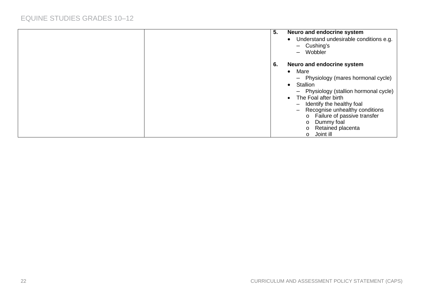| 5. | Neuro and endocrine system<br>Understand undesirable conditions e.g.<br>$\bullet$<br>$-$ Cushing's<br>Wobbler<br>$\overline{\phantom{0}}$                                                                                                                                                                                                                                                  |
|----|--------------------------------------------------------------------------------------------------------------------------------------------------------------------------------------------------------------------------------------------------------------------------------------------------------------------------------------------------------------------------------------------|
| 6. | Neuro and endocrine system<br>Mare<br>$\bullet$<br>- Physiology (mares hormonal cycle)<br>Stallion<br>$\bullet$<br>- Physiology (stallion hormonal cycle)<br>The Foal after birth<br>$\bullet$<br>- Identify the healthy foal<br>Recognise unhealthy conditions<br>Failure of passive transfer<br>$\circ$<br>Dummy foal<br>$\circ$<br>Retained placenta<br>$\circ$<br>Joint ill<br>$\circ$ |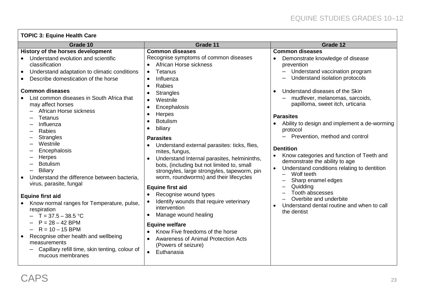| <b>TOPIC 3: Equine Health Care</b> |  |  |  |
|------------------------------------|--|--|--|
|------------------------------------|--|--|--|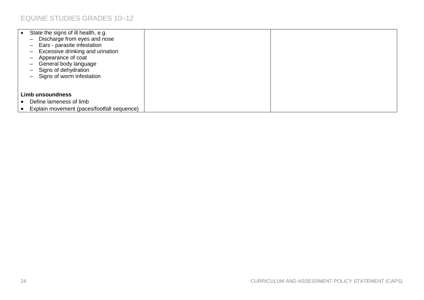| State the signs of ill health, e.g.<br>$\bullet$<br>Discharge from eyes and nose<br>$\overline{\phantom{m}}$<br>Ears - parasite infestation<br>-<br>Excessive drinking and urination<br>-<br>Appearance of coat<br>—<br>General body language<br>$\qquad \qquad -$<br>Signs of dehydration<br>$\qquad \qquad -$<br>Signs of worm infestation<br>$\overline{\phantom{0}}$ |  |
|--------------------------------------------------------------------------------------------------------------------------------------------------------------------------------------------------------------------------------------------------------------------------------------------------------------------------------------------------------------------------|--|
| <b>Limb unsoundness</b><br>Define lameness of limb<br>Explain movement (paces/footfall sequence)                                                                                                                                                                                                                                                                         |  |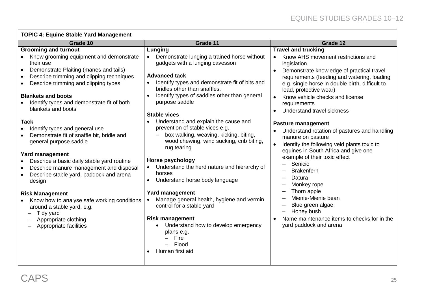| <b>TOPIC 4: Equine Stable Yard Management</b> |  |
|-----------------------------------------------|--|
|-----------------------------------------------|--|

| Grade 10                                                                                                                                                                                                                                                                                                                                                                                                                                                            | Grade 11                                                                                                                                                                                                                                                                                                                                                                                                                                                                                                                                            | Grade 12                                                                                                                                                                                                                                                                                                                                                                                                                        |
|---------------------------------------------------------------------------------------------------------------------------------------------------------------------------------------------------------------------------------------------------------------------------------------------------------------------------------------------------------------------------------------------------------------------------------------------------------------------|-----------------------------------------------------------------------------------------------------------------------------------------------------------------------------------------------------------------------------------------------------------------------------------------------------------------------------------------------------------------------------------------------------------------------------------------------------------------------------------------------------------------------------------------------------|---------------------------------------------------------------------------------------------------------------------------------------------------------------------------------------------------------------------------------------------------------------------------------------------------------------------------------------------------------------------------------------------------------------------------------|
| <b>Grooming and turnout</b>                                                                                                                                                                                                                                                                                                                                                                                                                                         | Lunging                                                                                                                                                                                                                                                                                                                                                                                                                                                                                                                                             | <b>Travel and trucking</b>                                                                                                                                                                                                                                                                                                                                                                                                      |
| Know grooming equipment and demonstrate<br>their use<br>Demonstrate Plaiting (manes and tails)<br>Describe trimming and clipping techniques<br>Describe trimming and clipping types                                                                                                                                                                                                                                                                                 | Demonstrate lunging a trained horse without<br>$\bullet$<br>gadgets with a lunging cavesson<br><b>Advanced tack</b><br>Identify types and demonstrate fit of bits and<br>bridles other than snaffles.                                                                                                                                                                                                                                                                                                                                               | Know AHS movement restrictions and<br>$\bullet$<br>legislation<br>Demonstrate knowledge of practical travel<br>requirements (feeding and watering, loading<br>e.g. single horse in double birth, difficult to                                                                                                                                                                                                                   |
| <b>Blankets and boots</b>                                                                                                                                                                                                                                                                                                                                                                                                                                           | Identify types of saddles other than general                                                                                                                                                                                                                                                                                                                                                                                                                                                                                                        | load, protective wear)<br>Know vehicle checks and license                                                                                                                                                                                                                                                                                                                                                                       |
| Identify types and demonstrate fit of both<br>blankets and boots                                                                                                                                                                                                                                                                                                                                                                                                    | purpose saddle<br><b>Stable vices</b>                                                                                                                                                                                                                                                                                                                                                                                                                                                                                                               | requirements<br>Understand travel sickness                                                                                                                                                                                                                                                                                                                                                                                      |
| <b>Tack</b><br>Identify types and general use<br>Demonstrate fit of snaffle bit, bridle and<br>general purpose saddle<br><b>Yard management</b><br>Describe a basic daily stable yard routine<br>Describe manure management and disposal<br>Describe stable yard, paddock and arena<br>design<br><b>Risk Management</b><br>Know how to analyse safe working conditions<br>around a stable yard, e.g.<br>Tidy yard<br>Appropriate clothing<br>Appropriate facilities | Understand and explain the cause and<br>prevention of stable vices e.g.<br>box walking, weaving, kicking, biting,<br>wood chewing, wind sucking, crib biting,<br>rug tearing<br><b>Horse psychology</b><br>Understand the herd nature and hierarchy of<br>$\bullet$<br>horses<br>Understand horse body language<br><b>Yard management</b><br>Manage general health, hygiene and vermin<br>$\bullet$<br>control for a stable yard<br><b>Risk management</b><br>Understand how to develop emergency<br>plans e.g.<br>Fire<br>Flood<br>Human first aid | <b>Pasture management</b><br>Understand rotation of pastures and handling<br>manure on pasture<br>Identify the following veld plants toxic to<br>equines in South Africa and give one<br>example of their toxic effect<br>Senicio<br><b>Brakenfern</b><br>Datura<br>Monkey rope<br>Thorn apple<br>Mienie-Mienie bean<br>Blue green algae<br>Honey bush<br>Name maintenance items to checks for in the<br>yard paddock and arena |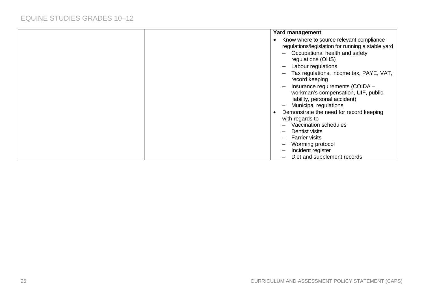| <b>Yard management</b>                                                                                                                       |
|----------------------------------------------------------------------------------------------------------------------------------------------|
| Know where to source relevant compliance<br>$\bullet$<br>regulations/legislation for running a stable yard<br>Occupational health and safety |
| regulations (OHS)<br>Labour regulations<br>$\qquad \qquad \blacksquare$                                                                      |
| Tax regulations, income tax, PAYE, VAT,<br>record keeping                                                                                    |
| Insurance requirements (COIDA -<br>workman's compensation, UIF, public<br>liability, personal accident)<br><b>Municipal regulations</b>      |
| Demonstrate the need for record keeping<br>$\bullet$                                                                                         |
| with regards to                                                                                                                              |
| Vaccination schedules                                                                                                                        |
| Dentist visits                                                                                                                               |
| <b>Farrier visits</b>                                                                                                                        |
| Worming protocol<br>Incident register                                                                                                        |
| Diet and supplement records                                                                                                                  |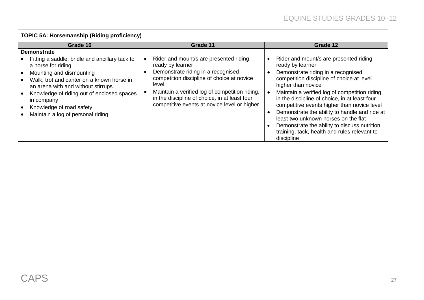| <b>TOPIC 5A: Horsemanship (Riding proficiency)</b>                                                                                                                                                                                                                                                                                      |                                                                                                                                                                                                                                                                                                            |                                                                                                                                                                                                                                                                                                                                                                                                                                                                                                                               |  |  |  |  |  |  |
|-----------------------------------------------------------------------------------------------------------------------------------------------------------------------------------------------------------------------------------------------------------------------------------------------------------------------------------------|------------------------------------------------------------------------------------------------------------------------------------------------------------------------------------------------------------------------------------------------------------------------------------------------------------|-------------------------------------------------------------------------------------------------------------------------------------------------------------------------------------------------------------------------------------------------------------------------------------------------------------------------------------------------------------------------------------------------------------------------------------------------------------------------------------------------------------------------------|--|--|--|--|--|--|
| Grade 10                                                                                                                                                                                                                                                                                                                                | Grade 11                                                                                                                                                                                                                                                                                                   | Grade 12                                                                                                                                                                                                                                                                                                                                                                                                                                                                                                                      |  |  |  |  |  |  |
| <b>Demonstrate</b><br>Fitting a saddle, bridle and ancillary tack to<br>a horse for riding<br>Mounting and dismounting<br>Walk, trot and canter on a known horse in<br>an arena with and without stirrups.<br>Knowledge of riding out of enclosed spaces<br>in company<br>Knowledge of road safety<br>Maintain a log of personal riding | Rider and mount/s are presented riding<br>ready by learner<br>Demonstrate riding in a recognised<br>competition discipline of choice at novice<br>level<br>Maintain a verified log of competition riding,<br>in the discipline of choice, in at least four<br>competitive events at novice level or higher | Rider and mount/s are presented riding<br>ready by learner<br>Demonstrate riding in a recognised<br>competition discipline of choice at level<br>higher than novice<br>Maintain a verified log of competition riding,<br>in the discipline of choice, in at least four<br>competitive events higher than novice level<br>Demonstrate the ability to handle and ride at<br>least two unknown horses on the flat<br>Demonstrate the ability to discuss nutrition,<br>training, tack, health and rules relevant to<br>discipline |  |  |  |  |  |  |

 $\mathsf{r}$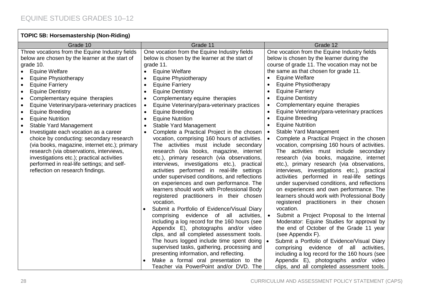| <b>TOPIC 5B: Horsemastership (Non-Riding)</b>                                                                                                                                                                                                                                                                                                                                                                                                                                                                                                                                                                                                                                                                                                                                                                              |                                                                                                                                                                                                                                                                                                                                                                                                                                                                                                                                                                                                                                                                                                                                                                                                                                                                                                                                                                                                                                                                                                                                                                                                                                                                                                                                                                                                                              |                                                                                                                                                                                                                                                                                                                                                                                                                                                                                                                                                                                                                                                                                                                                                                                                                                                                                                                                                                                                                                                                                                                                                                                                                                                                                                                                                                                                                                                                                                   |  |  |  |  |  |  |
|----------------------------------------------------------------------------------------------------------------------------------------------------------------------------------------------------------------------------------------------------------------------------------------------------------------------------------------------------------------------------------------------------------------------------------------------------------------------------------------------------------------------------------------------------------------------------------------------------------------------------------------------------------------------------------------------------------------------------------------------------------------------------------------------------------------------------|------------------------------------------------------------------------------------------------------------------------------------------------------------------------------------------------------------------------------------------------------------------------------------------------------------------------------------------------------------------------------------------------------------------------------------------------------------------------------------------------------------------------------------------------------------------------------------------------------------------------------------------------------------------------------------------------------------------------------------------------------------------------------------------------------------------------------------------------------------------------------------------------------------------------------------------------------------------------------------------------------------------------------------------------------------------------------------------------------------------------------------------------------------------------------------------------------------------------------------------------------------------------------------------------------------------------------------------------------------------------------------------------------------------------------|---------------------------------------------------------------------------------------------------------------------------------------------------------------------------------------------------------------------------------------------------------------------------------------------------------------------------------------------------------------------------------------------------------------------------------------------------------------------------------------------------------------------------------------------------------------------------------------------------------------------------------------------------------------------------------------------------------------------------------------------------------------------------------------------------------------------------------------------------------------------------------------------------------------------------------------------------------------------------------------------------------------------------------------------------------------------------------------------------------------------------------------------------------------------------------------------------------------------------------------------------------------------------------------------------------------------------------------------------------------------------------------------------------------------------------------------------------------------------------------------------|--|--|--|--|--|--|
| Grade 10                                                                                                                                                                                                                                                                                                                                                                                                                                                                                                                                                                                                                                                                                                                                                                                                                   | Grade 11                                                                                                                                                                                                                                                                                                                                                                                                                                                                                                                                                                                                                                                                                                                                                                                                                                                                                                                                                                                                                                                                                                                                                                                                                                                                                                                                                                                                                     | Grade 12                                                                                                                                                                                                                                                                                                                                                                                                                                                                                                                                                                                                                                                                                                                                                                                                                                                                                                                                                                                                                                                                                                                                                                                                                                                                                                                                                                                                                                                                                          |  |  |  |  |  |  |
| Three vocations from the Equine Industry fields<br>below are chosen by the learner at the start of<br>grade 10.<br><b>Equine Welfare</b><br>$\bullet$<br><b>Equine Physiotherapy</b><br><b>Equine Farriery</b><br>٠<br><b>Equine Dentistry</b><br>$\bullet$<br>Complementary equine therapies<br>$\bullet$<br>Equine Veterinary/para-veterinary practices<br>$\bullet$<br>Equine Breeding<br>$\bullet$<br><b>Equine Nutrition</b><br>$\bullet$<br><b>Stable Yard Management</b><br>$\bullet$<br>Investigate each vocation as a career<br>$\bullet$<br>choice by conducting: secondary research<br>(via books, magazine, internet etc.); primary<br>research (via observations, interviews,<br>investigations etc.); practical activities<br>performed in real-life settings; and self-<br>reflection on research findings. | One vocation from the Equine Industry fields<br>below is chosen by the learner at the start of<br>grade 11.<br><b>Equine Welfare</b><br><b>Equine Physiotherapy</b><br><b>Equine Farriery</b><br><b>Equine Dentistry</b><br>Complementary equine therapies<br>$\bullet$<br>Equine Veterinary/para-veterinary practices<br><b>Equine Breeding</b><br>$\bullet$<br><b>Equine Nutrition</b><br>$\bullet$<br>Stable Yard Management<br>Complete a Practical Project in the chosen<br>vocation, comprising 160 hours of activities.<br>The activities must include secondary<br>research (via books, magazine, internet<br>etc.), primary research (via observations,<br>interviews, investigations etc.), practical<br>activities performed in real-life settings<br>under supervised conditions, and reflections<br>on experiences and own performance. The<br>learners should work with Professional Body<br>registered practitioners in their chosen<br>vocation.<br>Submit a Portfolio of Evidence/Visual Diary<br>comprising evidence of all activities,<br>including a log record for the 160 hours (see<br>Appendix E), photographs and/or video<br>clips, and all completed assessment tools.<br>The hours logged include time spent doing<br>supervised tasks, gathering, processing and<br>presenting information, and reflecting.<br>Make a formal oral presentation to the<br>Teacher via PowerPoint and/or DVD. The | One vocation from the Equine Industry fields<br>below is chosen by the learner during the<br>course of grade 11. The vocation may not be<br>the same as that chosen for grade 11.<br><b>Equine Welfare</b><br><b>Equine Physiotherapy</b><br><b>Equine Farriery</b><br>٠<br><b>Equine Dentistry</b><br>$\bullet$<br>Complementary equine therapies<br>$\bullet$<br>Equine Veterinary/para-veterinary practices<br>$\bullet$<br><b>Equine Breeding</b><br>$\bullet$<br><b>Equine Nutrition</b><br>$\bullet$<br><b>Stable Yard Management</b><br>$\bullet$<br>Complete a Practical Project in the chosen<br>vocation, comprising 160 hours of activities.<br>The activities must include secondary<br>research (via books, magazine, internet<br>etc.), primary research (via observations,<br>interviews, investigations etc.), practical<br>activities performed in real-life settings<br>under supervised conditions, and reflections<br>on experiences and own performance. The<br>learners should work with Professional Body<br>registered practitioners in their chosen<br>vocation.<br>Submit a Project Proposal to the Internal<br>Moderator: Equine Studies for approval by<br>the end of October of the Grade 11 year<br>(see Appendix F).<br>$\bullet$<br>Submit a Portfolio of Evidence/Visual Diary<br>comprising evidence of all activities,<br>including a log record for the 160 hours (see<br>Appendix E), photographs and/or video<br>clips, and all completed assessment tools. |  |  |  |  |  |  |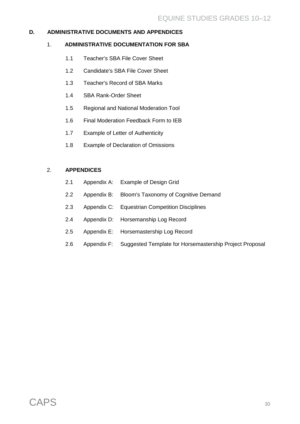#### **D. ADMINISTRATIVE DOCUMENTS AND APPENDICES**

#### 1. **ADMINISTRATIVE DOCUMENTATION FOR SBA**

- 1.1 Teacher's SBA File Cover Sheet
- 1.2 Candidate's SBA File Cover Sheet
- 1.3 Teacher's Record of SBA Marks
- 1.4 SBA Rank-Order Sheet
- 1.5 Regional and National Moderation Tool
- 1.6 Final Moderation Feedback Form to IEB
- 1.7 Example of Letter of Authenticity
- 1.8 Example of Declaration of Omissions

#### 2. **APPENDICES**

- 2.1 Appendix A: Example of Design Grid
- 2.2 Appendix B: Bloom's Taxonomy of Cognitive Demand
- 2.3 Appendix C: Equestrian Competition Disciplines
- 2.4 Appendix D: Horsemanship Log Record
- 2.5 Appendix E: Horsemastership Log Record
- 2.6 Appendix F: Suggested Template for Horsemastership Project Proposal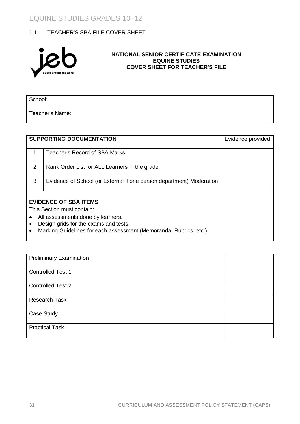#### 1.1 TEACHER'S SBA FILE COVER SHEET



#### **NATIONAL SENIOR CERTIFICATE EXAMINATION EQUINE STUDIES COVER SHEET FOR TEACHER'S FILE**

School:

Teacher's Name:

|   | <b>SUPPORTING DOCUMENTATION</b>                                                                                                                | Evidence provided |
|---|------------------------------------------------------------------------------------------------------------------------------------------------|-------------------|
| 1 | Teacher's Record of SBA Marks                                                                                                                  |                   |
| 2 | Rank Order List for ALL Learners in the grade                                                                                                  |                   |
| 3 | Evidence of School (or External if one person department) Moderation                                                                           |                   |
|   | <b>EVIDENCE OF SBA ITEMS</b><br>This Section must contain:                                                                                     |                   |
|   | All assessments done by learners.<br>Design grids for the exams and tests<br>Marking Guidelines for each assessment (Memoranda, Rubrics, etc.) |                   |

| <b>Preliminary Examination</b> |  |
|--------------------------------|--|
| <b>Controlled Test 1</b>       |  |
| <b>Controlled Test 2</b>       |  |
| <b>Research Task</b>           |  |
| Case Study                     |  |
| <b>Practical Task</b>          |  |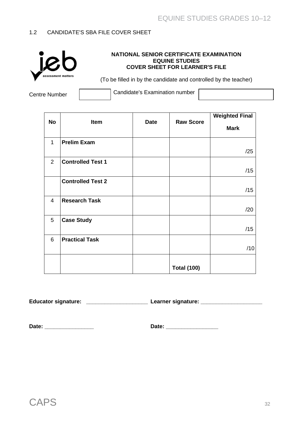#### 1.2 CANDIDATE'S SBA FILE COVER SHEET



#### **NATIONAL SENIOR CERTIFICATE EXAMINATION EQUINE STUDIES COVER SHEET FOR LEARNER'S FILE**

(To be filled in by the candidate and controlled by the teacher)

Centre Number **Candidate's Examination number** 

|                |                          |             |                    | <b>Weighted Final</b> |
|----------------|--------------------------|-------------|--------------------|-----------------------|
| <b>No</b>      | Item                     | <b>Date</b> | <b>Raw Score</b>   | <b>Mark</b>           |
| $\mathbf{1}$   | <b>Prelim Exam</b>       |             |                    | /25                   |
| 2              | <b>Controlled Test 1</b> |             |                    | /15                   |
|                | <b>Controlled Test 2</b> |             |                    | /15                   |
| $\overline{4}$ | <b>Research Task</b>     |             |                    | /20                   |
| 5              | <b>Case Study</b>        |             |                    | /15                   |
| 6              | <b>Practical Task</b>    |             |                    | /10                   |
|                |                          |             | <b>Total (100)</b> |                       |

**Educator signature: \_\_\_\_\_\_\_\_\_\_\_\_\_\_\_\_\_\_\_\_ Learner signature: \_\_\_\_\_\_\_\_\_\_\_\_\_\_\_\_\_\_\_\_**

**Date: \_\_\_\_\_\_\_\_\_\_\_\_\_\_\_\_ Date: \_\_\_\_\_\_\_\_\_\_\_\_\_\_\_\_\_**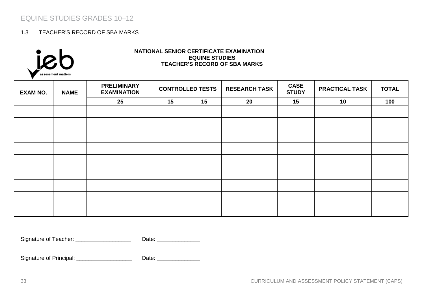#### 1.3 TEACHER'S RECORD OF SBA MARKS



#### **NATIONAL SENIOR CERTIFICATE EXAMINATION EQUINE STUDIES TEACHER'S RECORD OF SBA MARKS**

| <b>EXAM NO.</b> | <b>NAME</b> | <b>PRELIMINARY</b><br><b>EXAMINATION</b> | <b>CONTROLLED TESTS</b> |    |    |    | <b>RESEARCH TASK</b> | <b>CASE</b><br><b>STUDY</b> | <b>PRACTICAL TASK</b> | <b>TOTAL</b> |
|-----------------|-------------|------------------------------------------|-------------------------|----|----|----|----------------------|-----------------------------|-----------------------|--------------|
|                 |             | 25                                       | 15                      | 15 | 20 | 15 | 10                   | 100                         |                       |              |
|                 |             |                                          |                         |    |    |    |                      |                             |                       |              |
|                 |             |                                          |                         |    |    |    |                      |                             |                       |              |
|                 |             |                                          |                         |    |    |    |                      |                             |                       |              |
|                 |             |                                          |                         |    |    |    |                      |                             |                       |              |
|                 |             |                                          |                         |    |    |    |                      |                             |                       |              |
|                 |             |                                          |                         |    |    |    |                      |                             |                       |              |
|                 |             |                                          |                         |    |    |    |                      |                             |                       |              |
|                 |             |                                          |                         |    |    |    |                      |                             |                       |              |
|                 |             |                                          |                         |    |    |    |                      |                             |                       |              |

Signature of Teacher: \_\_\_\_\_\_\_\_\_\_\_\_\_\_\_\_\_\_\_\_\_\_\_\_ Date: \_\_\_\_\_\_\_\_\_\_\_\_\_\_\_\_\_\_\_\_\_\_\_\_\_\_

Signature of Principal: \_\_\_\_\_\_\_\_\_\_\_\_\_\_\_\_\_\_ Date: \_\_\_\_\_\_\_\_\_\_\_\_\_\_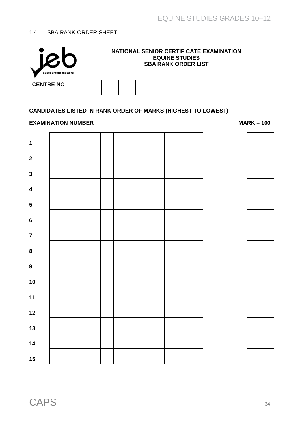#### 1.4 SBA RANK-ORDER SHEET



#### **NATIONAL SENIOR CERTIFICATE EXAMINATION EQUINE STUDIES SBA RANK ORDER LIST**

| <b>ENTRE NO</b> |  |  |
|-----------------|--|--|
|                 |  |  |

#### **CANDIDATES LISTED IN RANK ORDER OF MARKS (HIGHEST TO LOWEST)**

#### **EXAMINATION NUMBER MARK –** 100



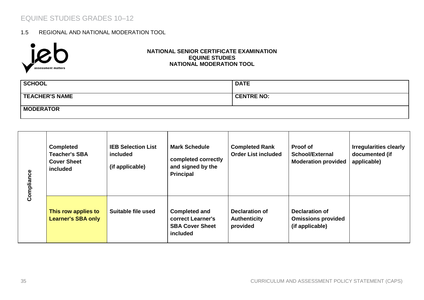#### 1.5 REGIONAL AND NATIONAL MODERATION TOOL



#### **NATIONAL SENIOR CERTIFICATE EXAMINATION EQUINE STUDIES NATIONAL MODERATION TOOL**

| <b>SCHOOL</b>         | <b>DATE</b>       |
|-----------------------|-------------------|
| <b>TEACHER'S NAME</b> | <b>CENTRE NO:</b> |
| <b>MODERATOR</b>      |                   |

| Compliance | <b>Completed</b><br><b>Teacher's SBA</b><br><b>Cover Sheet</b><br>included | <b>IEB Selection List</b><br>included<br>(if applicable) | <b>Mark Schedule</b><br>completed correctly<br>and signed by the<br><b>Principal</b> | <b>Completed Rank</b><br><b>Order List included</b>      | Proof of<br>School/External<br><b>Moderation provided</b>      | <b>Irregularities clearly</b><br>documented (if<br>applicable) |
|------------|----------------------------------------------------------------------------|----------------------------------------------------------|--------------------------------------------------------------------------------------|----------------------------------------------------------|----------------------------------------------------------------|----------------------------------------------------------------|
|            | This row applies to<br><b>Learner's SBA only</b>                           | Suitable file used                                       | <b>Completed and</b><br>correct Learner's<br><b>SBA Cover Sheet</b><br>included      | <b>Declaration of</b><br><b>Authenticity</b><br>provided | Declaration of<br><b>Omissions provided</b><br>(if applicable) |                                                                |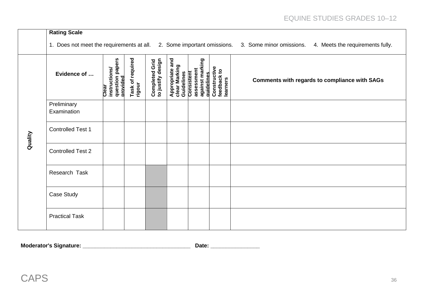|         | <b>Rating Scale</b>        |                                                       |                            |                                     |                                                |                                                           |                                         |                                                                                                                                     |
|---------|----------------------------|-------------------------------------------------------|----------------------------|-------------------------------------|------------------------------------------------|-----------------------------------------------------------|-----------------------------------------|-------------------------------------------------------------------------------------------------------------------------------------|
|         |                            |                                                       |                            |                                     |                                                |                                                           |                                         | 1. Does not meet the requirements at all. 2. Some important omissions. 3. Some minor omissions.<br>4. Meets the requirements fully. |
| Quality | Evidence of                | instructions/<br>question papers<br>provided<br>Clear | Task of required<br>rigour | Completed Grid<br>to justify design | Appropriate and<br>clear Marking<br>Guidelines | assessment<br>against marking<br>Consistent<br>auidelines | Constructive<br>feedback to<br>learners | <b>Comments with regards to compliance with SAGs</b>                                                                                |
|         | Preliminary<br>Examination |                                                       |                            |                                     |                                                |                                                           |                                         |                                                                                                                                     |
|         | <b>Controlled Test 1</b>   |                                                       |                            |                                     |                                                |                                                           |                                         |                                                                                                                                     |
|         | <b>Controlled Test 2</b>   |                                                       |                            |                                     |                                                |                                                           |                                         |                                                                                                                                     |
|         | Research Task              |                                                       |                            |                                     |                                                |                                                           |                                         |                                                                                                                                     |
|         | Case Study                 |                                                       |                            |                                     |                                                |                                                           |                                         |                                                                                                                                     |
|         | <b>Practical Task</b>      |                                                       |                            |                                     |                                                |                                                           |                                         |                                                                                                                                     |

**Moderator's Signature: \_\_\_\_\_\_\_\_\_\_\_\_\_\_\_\_\_\_\_\_\_\_\_\_\_\_\_\_\_\_\_\_\_\_\_ Date: \_\_\_\_\_\_\_\_\_\_\_\_\_\_\_\_**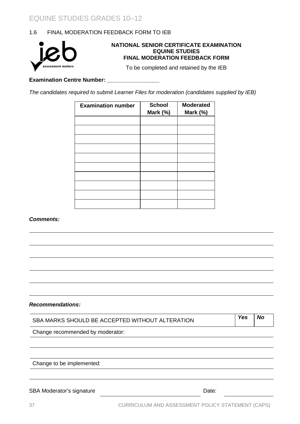#### 1.6 FINAL MODERATION FEEDBACK FORM TO IEB



#### **NATIONAL SENIOR CERTIFICATE EXAMINATION EQUINE STUDIES FINAL MODERATION FEEDBACK FORM**

To be completed and retained by the IEB

**Examination Centre Number: \_\_\_\_\_\_\_\_\_\_\_\_\_\_\_\_\_**

*The candidates required to submit Learner Files for moderation (candidates supplied by IEB)*

| <b>Examination number</b> | <b>School</b><br>Mark (%) | <b>Moderated</b><br>Mark (%) |
|---------------------------|---------------------------|------------------------------|
|                           |                           |                              |
|                           |                           |                              |
|                           |                           |                              |
|                           |                           |                              |
|                           |                           |                              |
|                           |                           |                              |
|                           |                           |                              |
|                           |                           |                              |
|                           |                           |                              |
|                           |                           |                              |

#### *Comments:*

*Recommendations:*

| SBA MARKS SHOULD BE ACCEPTED WITHOUT ALTERATION | Yes   | No |  |
|-------------------------------------------------|-------|----|--|
| Change recommended by moderator:                |       |    |  |
|                                                 |       |    |  |
| Change to be implemented:                       |       |    |  |
|                                                 |       |    |  |
| <b>SBA Moderator's signature</b>                | Date: |    |  |
|                                                 |       |    |  |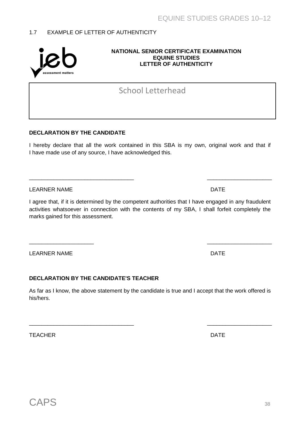# 1.7 EXAMPLE OF LETTER OF AUTHENTICITY

#### **NATIONAL SENIOR CERTIFICATE EXAMINATION EQUINE STUDIES LETTER OF AUTHENTICITY**

# School Letterhead

# **DECLARATION BY THE CANDIDATE**

I hereby declare that all the work contained in this SBA is my own, original work and that if I have made use of any source, I have acknowledged this.

\_\_\_\_\_\_\_\_\_\_\_\_\_\_\_\_\_\_\_\_\_\_\_\_\_\_\_\_\_\_\_\_\_\_ \_\_\_\_\_\_\_\_\_\_\_\_\_\_\_\_\_\_\_\_\_

LEARNER NAME **DATE** 

I agree that, if it is determined by the competent authorities that I have engaged in any fraudulent activities whatsoever in connection with the contents of my SBA, I shall forfeit completely the marks gained for this assessment.

 $\overline{\phantom{a}}$  , and the contract of the contract of the contract of the contract of the contract of the contract of the contract of the contract of the contract of the contract of the contract of the contract of the contrac

LEARNER NAME **DATE** 

# **DECLARATION BY THE CANDIDATE'S TEACHER**

As far as I know, the above statement by the candidate is true and I accept that the work offered is his/hers.

\_\_\_\_\_\_\_\_\_\_\_\_\_\_\_\_\_\_\_\_\_\_\_\_\_\_\_\_\_\_\_\_\_\_ \_\_\_\_\_\_\_\_\_\_\_\_\_\_\_\_\_\_\_\_\_

TEACHER DATE DESCRIPTION OF THE SERVICE SERVICE SERVICE SERVICE SERVICE SERVICE SERVICE SERVICE SERVICE SERVICE

assessment matters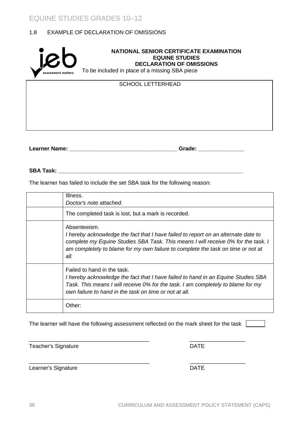#### 1.8 EXAMPLE OF DECLARATION OF OMISSIONS



**Learner Name: \_\_\_\_\_\_\_\_\_\_\_\_\_\_\_\_\_\_\_\_\_\_\_\_\_\_\_\_\_\_\_\_\_\_\_ Grade: \_\_\_\_\_\_\_\_\_\_\_\_\_\_\_**

**SBA Task: \_\_\_\_\_\_\_\_\_\_\_\_\_\_\_\_\_\_\_\_\_\_\_\_\_\_\_\_\_\_\_\_\_\_\_\_\_\_\_\_\_\_\_\_\_\_\_\_\_\_\_\_\_\_\_\_\_\_\_\_**

The learner has failed to include the set SBA task for the following reason:

| Illness.<br>Doctor's note attached.                                                                                                                                                                                                                                                 |
|-------------------------------------------------------------------------------------------------------------------------------------------------------------------------------------------------------------------------------------------------------------------------------------|
| The completed task is lost, but a mark is recorded.                                                                                                                                                                                                                                 |
| Absenteeism.<br>I hereby acknowledge the fact that I have failed to report on an alternate date to<br>complete my Equine Studies SBA Task. This means I will receive 0% for the task. I<br>am completely to blame for my own failure to complete the task on time or not at<br>all. |
| Failed to hand in the task.<br>I hereby acknowledge the fact that I have failed to hand in an Equine Studies SBA<br>Task. This means I will receive 0% for the task. I am completely to blame for my<br>own failure to hand in the task on time or not at all.                      |
| Other:                                                                                                                                                                                                                                                                              |

The learner will have the following assessment reflected on the mark sheet for the task  $\Box$ 

\_\_\_\_\_\_\_\_\_\_\_\_\_\_\_\_\_\_\_\_\_\_\_\_\_\_\_\_\_\_\_\_\_\_\_\_\_\_\_ \_\_\_\_\_\_\_\_\_\_\_\_\_\_\_\_\_\_

\_\_\_\_\_\_\_\_\_\_\_\_\_\_\_\_\_\_\_\_\_\_\_\_\_\_\_\_\_\_\_\_\_\_\_\_\_\_\_ \_\_\_\_\_\_\_\_\_\_\_\_\_\_\_\_\_\_

Teacher's Signature **DATE** 

Learner's Signature **DATE**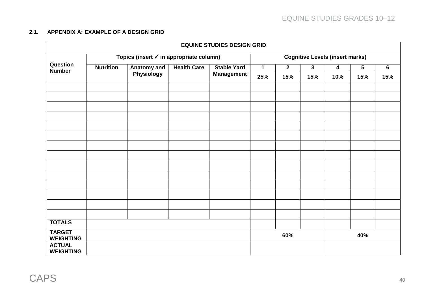#### **2.1. APPENDIX A: EXAMPLE OF A DESIGN GRID**

| <b>EQUINE STUDIES DESIGN GRID</b> |                                         |             |                    |                                        |             |                |              |     |                |                |
|-----------------------------------|-----------------------------------------|-------------|--------------------|----------------------------------------|-------------|----------------|--------------|-----|----------------|----------------|
|                                   | Topics (insert √ in appropriate column) |             |                    | <b>Cognitive Levels (insert marks)</b> |             |                |              |     |                |                |
| Question<br><b>Number</b>         | <b>Nutrition</b>                        | Anatomy and | <b>Health Care</b> | <b>Stable Yard</b>                     | $\mathbf 1$ | $\overline{2}$ | $\mathbf{3}$ | 4   | $\overline{5}$ | $\overline{6}$ |
|                                   |                                         | Physiology  |                    | <b>Management</b>                      | 25%         | 15%            | 15%          | 10% | 15%            | 15%            |
|                                   |                                         |             |                    |                                        |             |                |              |     |                |                |
|                                   |                                         |             |                    |                                        |             |                |              |     |                |                |
|                                   |                                         |             |                    |                                        |             |                |              |     |                |                |
|                                   |                                         |             |                    |                                        |             |                |              |     |                |                |
|                                   |                                         |             |                    |                                        |             |                |              |     |                |                |
|                                   |                                         |             |                    |                                        |             |                |              |     |                |                |
|                                   |                                         |             |                    |                                        |             |                |              |     |                |                |
|                                   |                                         |             |                    |                                        |             |                |              |     |                |                |
|                                   |                                         |             |                    |                                        |             |                |              |     |                |                |
|                                   |                                         |             |                    |                                        |             |                |              |     |                |                |
|                                   |                                         |             |                    |                                        |             |                |              |     |                |                |
|                                   |                                         |             |                    |                                        |             |                |              |     |                |                |
|                                   |                                         |             |                    |                                        |             |                |              |     |                |                |
|                                   |                                         |             |                    |                                        |             |                |              |     |                |                |
| <b>TOTALS</b>                     |                                         |             |                    |                                        |             |                |              |     |                |                |
| <b>TARGET</b><br><b>WEIGHTING</b> |                                         |             |                    |                                        |             | 60%            |              |     | 40%            |                |
| <b>ACTUAL</b><br><b>WEIGHTING</b> |                                         |             |                    |                                        |             |                |              |     |                |                |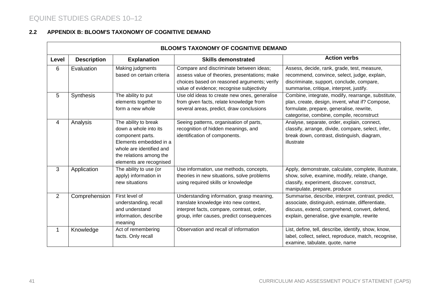#### **2.2 APPENDIX B: BLOOM'S TAXONOMY OF COGNITIVE DEMAND**

|                | <b>BLOOM'S TAXONOMY OF COGNITIVE DEMAND</b> |                           |                                               |                                                      |  |  |  |  |
|----------------|---------------------------------------------|---------------------------|-----------------------------------------------|------------------------------------------------------|--|--|--|--|
| Level          | <b>Description</b>                          | <b>Explanation</b>        | <b>Skills demonstrated</b>                    | <b>Action verbs</b>                                  |  |  |  |  |
| 6              | Evaluation                                  | Making judgments          | Compare and discriminate between ideas;       | Assess, decide, rank, grade, test, measure,          |  |  |  |  |
|                |                                             | based on certain criteria | assess value of theories, presentations; make | recommend, convince, select, judge, explain,         |  |  |  |  |
|                |                                             |                           | choices based on reasoned arguments; verify   | discriminate, support, conclude, compare,            |  |  |  |  |
|                |                                             |                           | value of evidence; recognise subjectivity     | summarise, critique, interpret, justify.             |  |  |  |  |
| 5              | <b>Synthesis</b>                            | The ability to put        | Use old ideas to create new ones, generalise  | Combine, integrate, modify, rearrange, substitute,   |  |  |  |  |
|                |                                             | elements together to      | from given facts, relate knowledge from       | plan, create, design, invent, what if? Compose,      |  |  |  |  |
|                |                                             | form a new whole          | several areas, predict, draw conclusions      | formulate, prepare, generalise, rewrite,             |  |  |  |  |
|                |                                             |                           |                                               | categorise, combine, compile, reconstruct            |  |  |  |  |
| 4              | Analysis                                    | The ability to break      | Seeing patterns, organisation of parts,       | Analyse, separate, order, explain, connect,          |  |  |  |  |
|                |                                             | down a whole into its     | recognition of hidden meanings, and           | classify, arrange, divide, compare, select, infer,   |  |  |  |  |
|                |                                             | component parts.          | identification of components.                 | break down, contrast, distinguish, diagram,          |  |  |  |  |
|                |                                             | Elements embedded in a    |                                               | illustrate                                           |  |  |  |  |
|                |                                             | whole are identified and  |                                               |                                                      |  |  |  |  |
|                |                                             | the relations among the   |                                               |                                                      |  |  |  |  |
|                |                                             | elements are recognised   |                                               |                                                      |  |  |  |  |
| 3              | Application                                 | The ability to use (or    | Use information, use methods, concepts,       | Apply, demonstrate, calculate, complete, illustrate, |  |  |  |  |
|                |                                             | apply) information in     | theories in new situations, solve problems    | show, solve, examine, modify, relate, change,        |  |  |  |  |
|                |                                             | new situations            | using required skills or knowledge            | classify, experiment, discover, construct,           |  |  |  |  |
|                |                                             |                           |                                               | manipulate, prepare, produce                         |  |  |  |  |
| $\overline{2}$ | Comprehension                               | First level of            | Understanding information, grasp meaning,     | Summarise, describe, interpret, contrast, predict,   |  |  |  |  |
|                |                                             | understanding, recall     | translate knowledge into new context,         | associate, distinguish, estimate, differentiate,     |  |  |  |  |
|                |                                             | and understand            | interpret facts, compare, contrast, order,    | discuss, extend, comprehend, convert, defend,        |  |  |  |  |
|                |                                             | information, describe     | group, infer causes, predict consequences     | explain, generalise, give example, rewrite           |  |  |  |  |
|                |                                             | meaning                   |                                               |                                                      |  |  |  |  |
| $\mathbf{1}$   | Knowledge                                   | Act of remembering        | Observation and recall of information         | List, define, tell, describe, identify, show, know,  |  |  |  |  |
|                |                                             | facts. Only recall        |                                               | label, collect, select, reproduce, match, recognise, |  |  |  |  |
|                |                                             |                           |                                               | examine, tabulate, quote, name                       |  |  |  |  |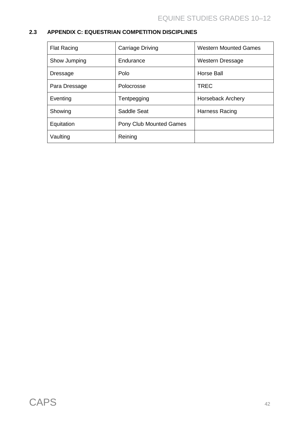### **2.3 APPENDIX C: EQUESTRIAN COMPETITION DISCIPLINES**

| <b>Flat Racing</b> | <b>Carriage Driving</b> | <b>Western Mounted Games</b> |
|--------------------|-------------------------|------------------------------|
| Show Jumping       | Endurance               | <b>Western Dressage</b>      |
| <b>Dressage</b>    | Polo                    | Horse Ball                   |
| Para Dressage      | Polocrosse              | <b>TREC</b>                  |
| Eventing           | Tentpegging             | <b>Horseback Archery</b>     |
| Showing            | Saddle Seat             | Harness Racing               |
| Equitation         | Pony Club Mounted Games |                              |
| Vaulting           | Reining                 |                              |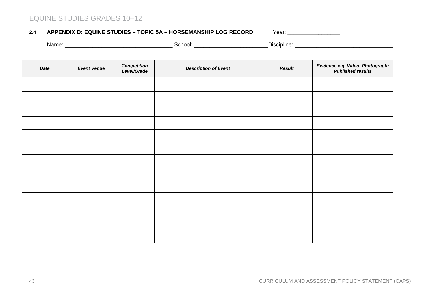#### 2.4 **APPENDIX D: EQUINE STUDIES - TOPIC 5A - HORSEMANSHIP LOG RECORD Year: \_\_\_\_\_\_\_\_\_\_\_\_\_\_\_\_\_\_**

Name: \_\_\_\_\_\_\_\_\_\_\_\_\_\_\_\_\_\_\_\_\_\_\_\_\_\_\_\_\_\_\_\_\_\_\_ School: \_\_\_\_\_\_\_\_\_\_\_\_\_\_\_\_\_\_\_\_\_\_\_\_Discipline: \_\_\_\_\_\_\_\_\_\_\_\_\_\_\_\_\_\_\_\_\_\_\_\_\_\_\_\_\_\_\_\_

| Date | <b>Event Venue</b> | <b>Competition</b><br>Level/Grade | <b>Description of Event</b> | <b>Result</b> | Evidence e.g. Video; Photograph;<br>Published results |
|------|--------------------|-----------------------------------|-----------------------------|---------------|-------------------------------------------------------|
|      |                    |                                   |                             |               |                                                       |
|      |                    |                                   |                             |               |                                                       |
|      |                    |                                   |                             |               |                                                       |
|      |                    |                                   |                             |               |                                                       |
|      |                    |                                   |                             |               |                                                       |
|      |                    |                                   |                             |               |                                                       |
|      |                    |                                   |                             |               |                                                       |
|      |                    |                                   |                             |               |                                                       |
|      |                    |                                   |                             |               |                                                       |
|      |                    |                                   |                             |               |                                                       |
|      |                    |                                   |                             |               |                                                       |
|      |                    |                                   |                             |               |                                                       |
|      |                    |                                   |                             |               |                                                       |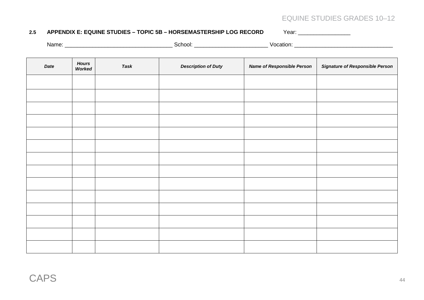#### **2.5 APPENDIX E: EQUINE STUDIES – TOPIC 5B – HORSEMASTERSHIP LOG RECORD** Year: \_\_\_\_\_\_\_\_\_\_\_\_\_\_\_\_\_

Name: \_\_\_\_\_\_\_\_\_\_\_\_\_\_\_\_\_\_\_\_\_\_\_\_\_\_\_\_\_\_\_\_\_\_\_ School: \_\_\_\_\_\_\_\_\_\_\_\_\_\_\_\_\_\_\_\_\_\_\_\_ Vocation: \_\_\_\_\_\_\_\_\_\_\_\_\_\_\_\_\_\_\_\_\_\_\_\_\_\_\_\_\_\_\_\_

| Date | <b>Hours</b><br>Worked | Task | <b>Description of Duty</b> | <b>Name of Responsible Person</b> | <b>Signature of Responsible Person</b> |
|------|------------------------|------|----------------------------|-----------------------------------|----------------------------------------|
|      |                        |      |                            |                                   |                                        |
|      |                        |      |                            |                                   |                                        |
|      |                        |      |                            |                                   |                                        |
|      |                        |      |                            |                                   |                                        |
|      |                        |      |                            |                                   |                                        |
|      |                        |      |                            |                                   |                                        |
|      |                        |      |                            |                                   |                                        |
|      |                        |      |                            |                                   |                                        |
|      |                        |      |                            |                                   |                                        |
|      |                        |      |                            |                                   |                                        |
|      |                        |      |                            |                                   |                                        |
|      |                        |      |                            |                                   |                                        |
|      |                        |      |                            |                                   |                                        |
|      |                        |      |                            |                                   |                                        |